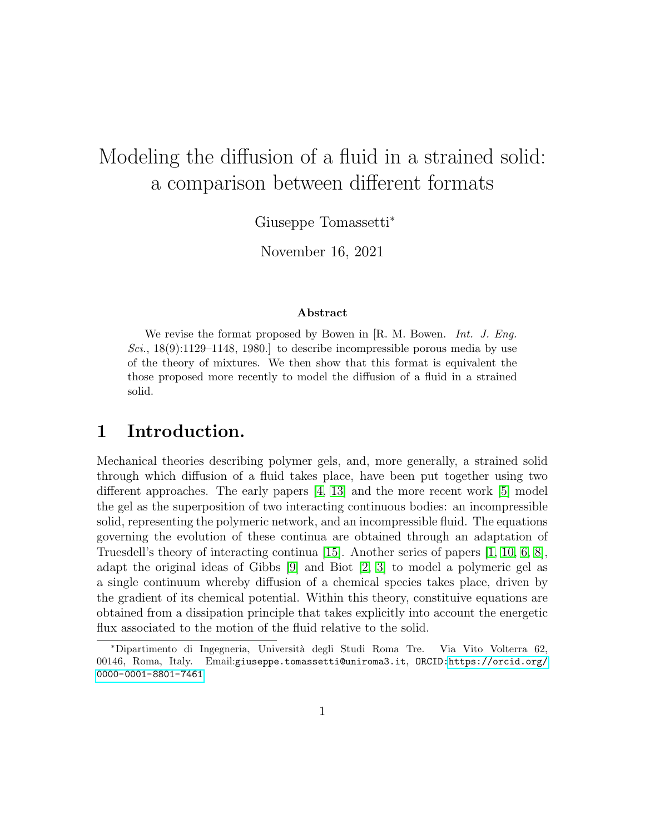# Modeling the diffusion of a fluid in a strained solid: a comparison between different formats

Giuseppe Tomassetti<sup>∗</sup>

November 16, 2021

### Abstract

We revise the format proposed by Bowen in [R. M. Bowen. *Int. J. Eng.* Sci.,  $18(9)$ :1129–1148, 1980.] to describe incompressible porous media by use of the theory of mixtures. We then show that this format is equivalent the those proposed more recently to model the diffusion of a fluid in a strained solid.

# 1 Introduction.

Mechanical theories describing polymer gels, and, more generally, a strained solid through which diffusion of a fluid takes place, have been put together using two different approaches. The early papers [\[4,](#page-23-0) [13\]](#page-24-0) and the more recent work [\[5\]](#page-23-1) model the gel as the superposition of two interacting continuous bodies: an incompressible solid, representing the polymeric network, and an incompressible fluid. The equations governing the evolution of these continua are obtained through an adaptation of Truesdell's theory of interacting continua [\[15\]](#page-24-1). Another series of papers [\[1,](#page-23-2) [10,](#page-23-3) [6,](#page-23-4) [8\]](#page-23-5), adapt the original ideas of Gibbs [\[9\]](#page-23-6) and Biot [\[2,](#page-23-7) [3\]](#page-23-8) to model a polymeric gel as a single continuum whereby diffusion of a chemical species takes place, driven by the gradient of its chemical potential. Within this theory, constituive equations are obtained from a dissipation principle that takes explicitly into account the energetic flux associated to the motion of the fluid relative to the solid.

<sup>∗</sup>Dipartimento di Ingegneria, Universit`a degli Studi Roma Tre. Via Vito Volterra 62, 00146, Roma, Italy. Email:giuseppe.tomassetti@uniroma3.it, ORCID[:https://orcid.org/](https://orcid.org/0000-0001-8801-7461) [0000-0001-8801-7461](https://orcid.org/0000-0001-8801-7461)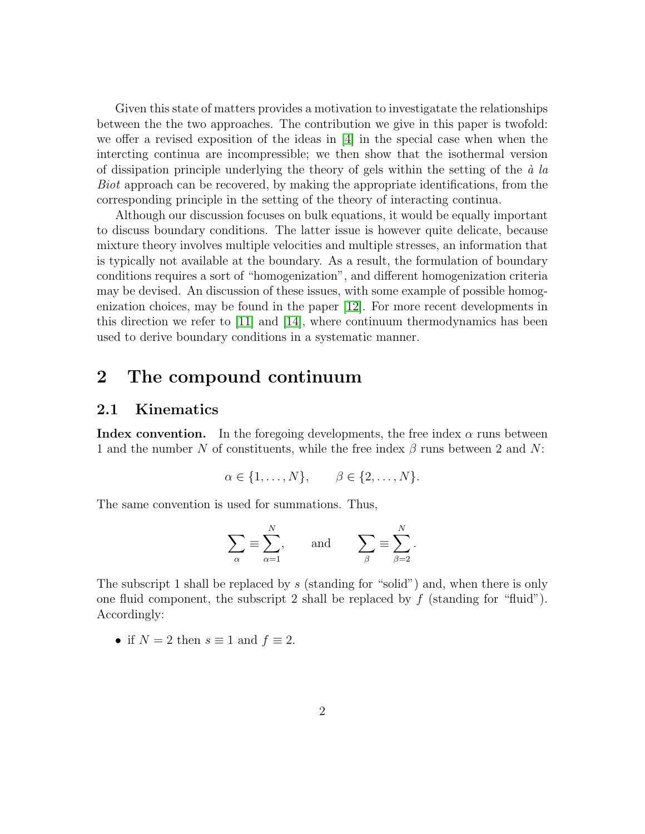Given this state of matters provides a motivation to investigatate the relationships between the the two approaches. The contribution we give in this paper is twofold: we offer a revised exposition of the ideas in [\[4\]](#page-23-0) in the special case when when the intercting continua are incompressible; we then show that the isothermal version of dissipation principle underlying the theory of gels within the setting of the  $\dot{a}$  la Biot approach can be recovered, by making the appropriate identifications, from the corresponding principle in the setting of the theory of interacting continua.

Although our discussion focuses on bulk equations, it would be equally important to discuss boundary conditions. The latter issue is however quite delicate, because mixture theory involves multiple velocities and multiple stresses, an information that is typically not available at the boundary. As a result, the formulation of boundary conditions requires a sort of "homogenization", and different homogenization criteria may be devised. An discussion of these issues, with some example of possible homogenization choices, may be found in the paper [\[12\]](#page-24-2). For more recent developments in this direction we refer to [\[11\]](#page-23-9) and [\[14\]](#page-24-3), where continuum thermodynamics has been used to derive boundary conditions in a systematic manner.

# 2 The compound continuum

## 2.1 Kinematics

**Index convention.** In the foregoing developments, the free index  $\alpha$  runs between 1 and the number N of constituents, while the free index  $\beta$  runs between 2 and N:

$$
\alpha \in \{1, \ldots, N\}, \qquad \beta \in \{2, \ldots, N\}.
$$

The same convention is used for summations. Thus,

$$
\sum_{\alpha} \equiv \sum_{\alpha=1}^{N}, \quad \text{and} \quad \sum_{\beta} \equiv \sum_{\beta=2}^{N}.
$$

The subscript 1 shall be replaced by s (standing for "solid") and, when there is only one fluid component, the subscript 2 shall be replaced by  $f$  (standing for "fluid"). Accordingly:

• if  $N = 2$  then  $s \equiv 1$  and  $f \equiv 2$ .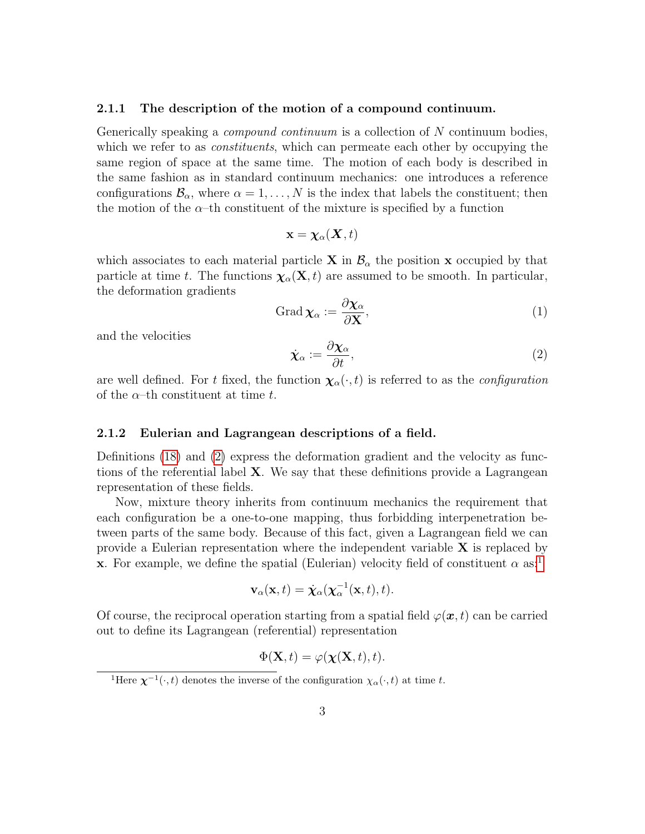#### 2.1.1 The description of the motion of a compound continuum.

Generically speaking a *compound continuum* is a collection of N continuum bodies, which we refer to as *constituents*, which can permeate each other by occupying the same region of space at the same time. The motion of each body is described in the same fashion as in standard continuum mechanics: one introduces a reference configurations  $\mathcal{B}_{\alpha}$ , where  $\alpha = 1, \ldots, N$  is the index that labels the constituent; then the motion of the  $\alpha$ –th constituent of the mixture is specified by a function

$$
\mathbf{x} = \boldsymbol{\chi}_{\alpha}(\boldsymbol{X},t)
$$

which associates to each material particle **X** in  $\mathcal{B}_{\alpha}$  the position **x** occupied by that particle at time t. The functions  $\chi_{\alpha}(\mathbf{X},t)$  are assumed to be smooth. In particular, the deformation gradients

<span id="page-2-2"></span><span id="page-2-0"></span>
$$
\operatorname{Grad} \chi_{\alpha} := \frac{\partial \chi_{\alpha}}{\partial \mathbf{X}},\tag{1}
$$

and the velocities

$$
\dot{\boldsymbol{\chi}}_{\alpha} := \frac{\partial \boldsymbol{\chi}_{\alpha}}{\partial t},\tag{2}
$$

are well defined. For t fixed, the function  $\chi_{\alpha}(\cdot,t)$  is referred to as the *configuration* of the  $\alpha$ -th constituent at time t.

## 2.1.2 Eulerian and Lagrangean descriptions of a field.

Definitions [\(18\)](#page-8-0) and [\(2\)](#page-2-0) express the deformation gradient and the velocity as functions of the referential label  $X$ . We say that these definitions provide a Lagrangean representation of these fields.

Now, mixture theory inherits from continuum mechanics the requirement that each configuration be a one-to-one mapping, thus forbidding interpenetration between parts of the same body. Because of this fact, given a Lagrangean field we can provide a Eulerian representation where the independent variable  $X$  is replaced by **x**. For example, we define the spatial (Eulerian) velocity field of constituent  $\alpha$  as:<sup>[1](#page-2-1)</sup>

$$
\mathbf{v}_{\alpha}(\mathbf{x},t) = \dot{\boldsymbol{\chi}}_{\alpha}(\boldsymbol{\chi}_{\alpha}^{-1}(\mathbf{x},t),t).
$$

Of course, the reciprocal operation starting from a spatial field  $\varphi(\bm{x}, t)$  can be carried out to define its Lagrangean (referential) representation

$$
\Phi(\mathbf{X},t) = \varphi(\boldsymbol{\chi}(\mathbf{X},t),t).
$$

<span id="page-2-1"></span><sup>&</sup>lt;sup>1</sup>Here  $\chi^{-1}(\cdot,t)$  denotes the inverse of the configuration  $\chi_{\alpha}(\cdot,t)$  at time t.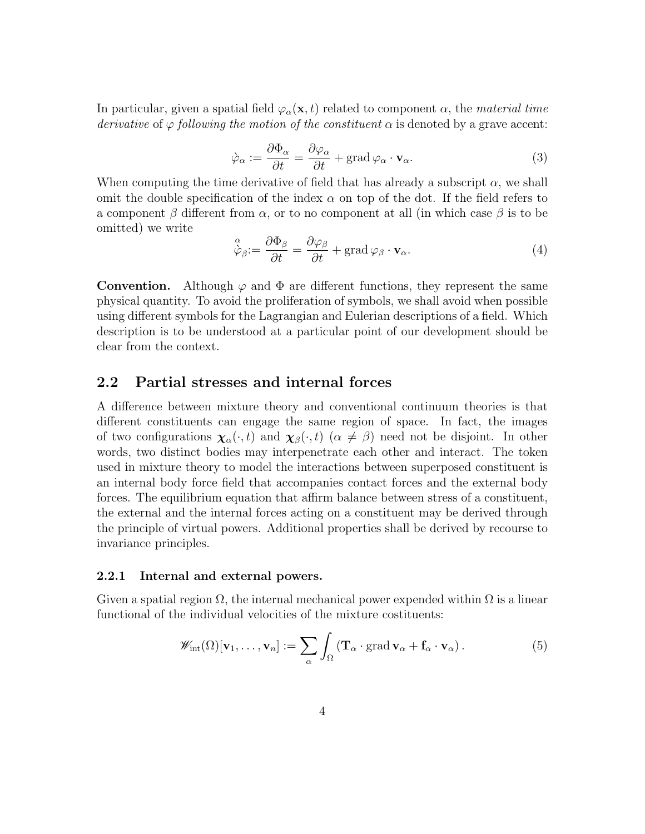<span id="page-3-0"></span>In particular, given a spatial field  $\varphi_{\alpha}(\mathbf{x},t)$  related to component  $\alpha$ , the material time derivative of  $\varphi$  following the motion of the constituent  $\alpha$  is denoted by a grave accent:

$$
\dot{\varphi}_{\alpha} := \frac{\partial \Phi_{\alpha}}{\partial t} = \frac{\partial \varphi_{\alpha}}{\partial t} + \text{grad}\,\varphi_{\alpha} \cdot \mathbf{v}_{\alpha}.
$$
\n(3)

When computing the time derivative of field that has already a subscript  $\alpha$ , we shall omit the double specification of the index  $\alpha$  on top of the dot. If the field refers to a component  $\beta$  different from  $\alpha$ , or to no component at all (in which case  $\beta$  is to be omitted) we write

$$
\stackrel{\alpha}{\dot{\varphi}}_{\beta} := \frac{\partial \Phi_{\beta}}{\partial t} = \frac{\partial \varphi_{\beta}}{\partial t} + \text{grad } \varphi_{\beta} \cdot \mathbf{v}_{\alpha}.
$$
\n(4)

**Convention.** Although  $\varphi$  and  $\Phi$  are different functions, they represent the same physical quantity. To avoid the proliferation of symbols, we shall avoid when possible using different symbols for the Lagrangian and Eulerian descriptions of a field. Which description is to be understood at a particular point of our development should be clear from the context.

## 2.2 Partial stresses and internal forces

A difference between mixture theory and conventional continuum theories is that different constituents can engage the same region of space. In fact, the images of two configurations  $\chi_{\alpha}(\cdot,t)$  and  $\chi_{\beta}(\cdot,t)$  ( $\alpha \neq \beta$ ) need not be disjoint. In other words, two distinct bodies may interpenetrate each other and interact. The token used in mixture theory to model the interactions between superposed constituent is an internal body force field that accompanies contact forces and the external body forces. The equilibrium equation that affirm balance between stress of a constituent, the external and the internal forces acting on a constituent may be derived through the principle of virtual powers. Additional properties shall be derived by recourse to invariance principles.

## 2.2.1 Internal and external powers.

Given a spatial region  $\Omega$ , the internal mechanical power expended within  $\Omega$  is a linear functional of the individual velocities of the mixture costituents:

<span id="page-3-1"></span>
$$
\mathscr{W}_{\rm int}(\Omega)[\mathbf{v}_1,\ldots,\mathbf{v}_n] := \sum_{\alpha} \int_{\Omega} (\mathbf{T}_{\alpha} \cdot \operatorname{grad} \mathbf{v}_{\alpha} + \mathbf{f}_{\alpha} \cdot \mathbf{v}_{\alpha}). \tag{5}
$$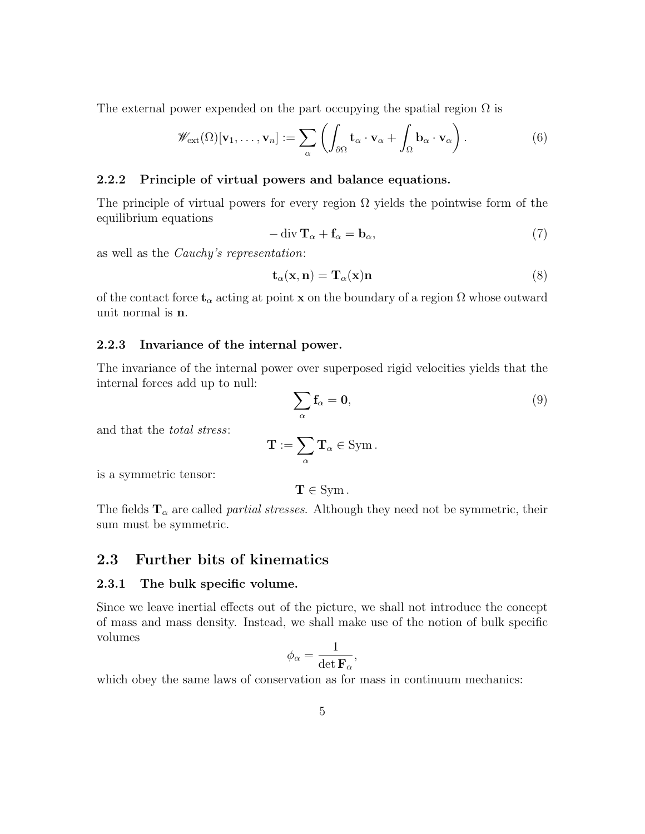The external power expended on the part occupying the spatial region  $\Omega$  is

$$
\mathscr{W}_{\text{ext}}(\Omega)[\mathbf{v}_1,\ldots,\mathbf{v}_n] := \sum_{\alpha} \left( \int_{\partial\Omega} \mathbf{t}_{\alpha} \cdot \mathbf{v}_{\alpha} + \int_{\Omega} \mathbf{b}_{\alpha} \cdot \mathbf{v}_{\alpha} \right).
$$
(6)

## 2.2.2 Principle of virtual powers and balance equations.

The principle of virtual powers for every region  $\Omega$  yields the pointwise form of the equilibrium equations

<span id="page-4-1"></span><span id="page-4-0"></span>
$$
-\operatorname{div} \mathbf{T}_{\alpha} + \mathbf{f}_{\alpha} = \mathbf{b}_{\alpha},\tag{7}
$$

as well as the Cauchy's representation:

$$
\mathbf{t}_{\alpha}(\mathbf{x}, \mathbf{n}) = \mathbf{T}_{\alpha}(\mathbf{x}) \mathbf{n} \tag{8}
$$

of the contact force  $\mathbf{t}_{\alpha}$  acting at point x on the boundary of a region  $\Omega$  whose outward unit normal is n.

### 2.2.3 Invariance of the internal power.

The invariance of the internal power over superposed rigid velocities yields that the internal forces add up to null:

<span id="page-4-2"></span>
$$
\sum_{\alpha} \mathbf{f}_{\alpha} = \mathbf{0},\tag{9}
$$

and that the total stress:

$$
\mathbf{T} := \sum_{\alpha} \mathbf{T}_{\alpha} \in \text{Sym} \, .
$$

is a symmetric tensor:

 $T \in \text{Sym}$ .

The fields  $T_{\alpha}$  are called *partial stresses*. Although they need not be symmetric, their sum must be symmetric.

## 2.3 Further bits of kinematics

#### 2.3.1 The bulk specific volume.

Since we leave inertial effects out of the picture, we shall not introduce the concept of mass and mass density. Instead, we shall make use of the notion of bulk specific volumes

$$
\phi_\alpha = \frac{1}{\det \mathbf{F}_\alpha},
$$

which obey the same laws of conservation as for mass in continuum mechanics: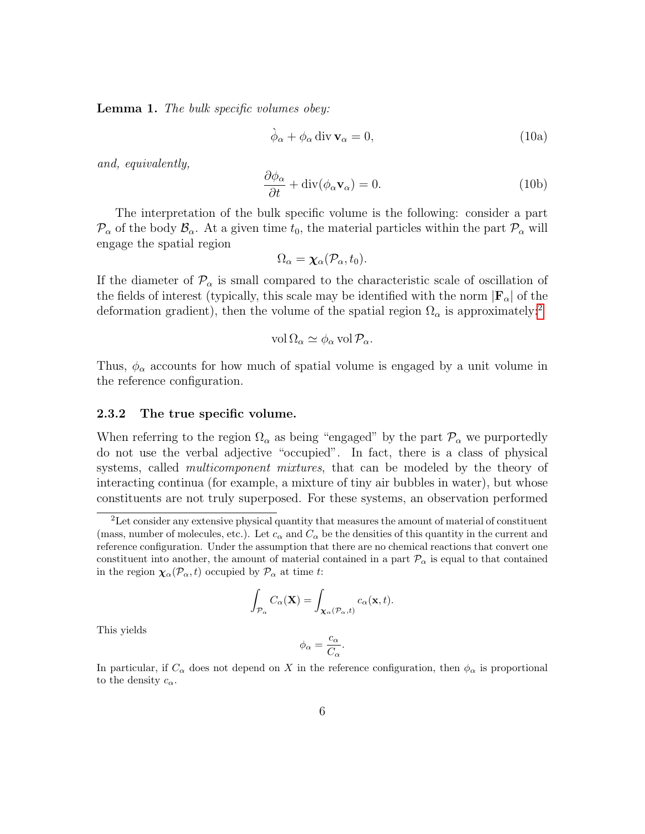Lemma 1. The bulk specific volumes obey:

$$
\dot{\phi}_{\alpha} + \phi_{\alpha} \operatorname{div} \mathbf{v}_{\alpha} = 0, \tag{10a}
$$

and, equivalently,

$$
\frac{\partial \phi_{\alpha}}{\partial t} + \text{div}(\phi_{\alpha} \mathbf{v}_{\alpha}) = 0. \tag{10b}
$$

The interpretation of the bulk specific volume is the following: consider a part  $\mathcal{P}_{\alpha}$  of the body  $\mathcal{B}_{\alpha}$ . At a given time  $t_0$ , the material particles within the part  $\mathcal{P}_{\alpha}$  will engage the spatial region

$$
\Omega_{\alpha} = \chi_{\alpha}(\mathcal{P}_{\alpha}, t_0).
$$

If the diameter of  $\mathcal{P}_{\alpha}$  is small compared to the characteristic scale of oscillation of the fields of interest (typically, this scale may be identified with the norm  $|\mathbf{F}_{\alpha}|$  of the deformation gradient), then the volume of the spatial region  $\Omega_{\alpha}$  is approximately:<sup>[2](#page-5-0)</sup>

$$
\text{vol}\,\Omega_{\alpha} \simeq \phi_{\alpha}\,\text{vol}\,\mathcal{P}_{\alpha}.
$$

Thus,  $\phi_{\alpha}$  accounts for how much of spatial volume is engaged by a unit volume in the reference configuration.

### 2.3.2 The true specific volume.

When referring to the region  $\Omega_{\alpha}$  as being "engaged" by the part  $\mathcal{P}_{\alpha}$  we purportedly do not use the verbal adjective "occupied". In fact, there is a class of physical systems, called *multicomponent mixtures*, that can be modeled by the theory of interacting continua (for example, a mixture of tiny air bubbles in water), but whose constituents are not truly superposed. For these systems, an observation performed

$$
\int_{\mathcal{P}_{\alpha}} C_{\alpha}(\mathbf{X}) = \int_{\mathbf{X}_{\alpha}(\mathcal{P}_{\alpha},t)} c_{\alpha}(\mathbf{x},t).
$$

This yields

$$
\phi_{\alpha} = \frac{c_{\alpha}}{C_{\alpha}}.
$$

In particular, if  $C_{\alpha}$  does not depend on X in the reference configuration, then  $\phi_{\alpha}$  is proportional to the density  $c_{\alpha}$ .

<span id="page-5-0"></span><sup>&</sup>lt;sup>2</sup>Let consider any extensive physical quantity that measures the amount of material of constituent (mass, number of molecules, etc.). Let  $c_{\alpha}$  and  $C_{\alpha}$  be the densities of this quantity in the current and reference configuration. Under the assumption that there are no chemical reactions that convert one constituent into another, the amount of material contained in a part  $\mathcal{P}_{\alpha}$  is equal to that contained in the region  $\chi_{\alpha}(\mathcal{P}_{\alpha}, t)$  occupied by  $\mathcal{P}_{\alpha}$  at time t: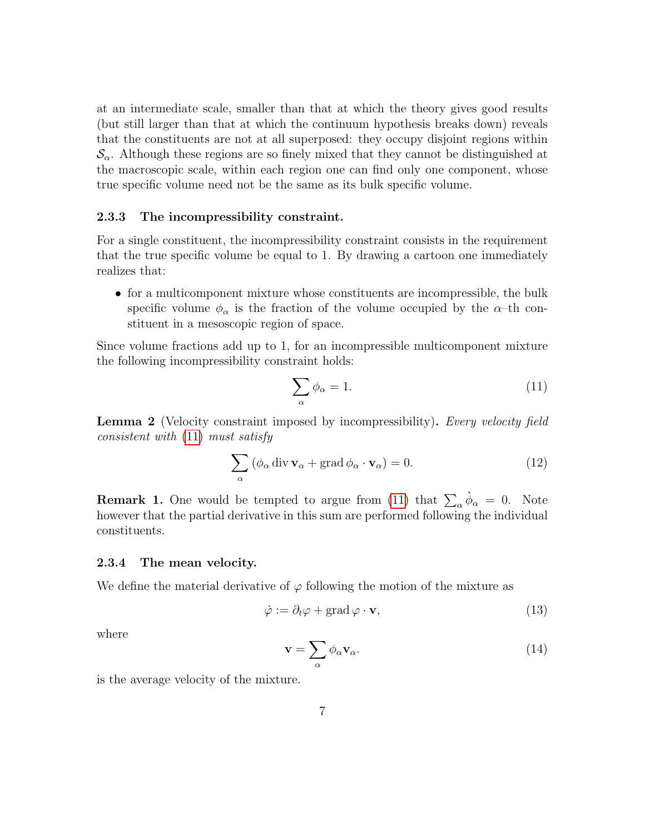at an intermediate scale, smaller than that at which the theory gives good results (but still larger than that at which the continuum hypothesis breaks down) reveals that the constituents are not at all superposed: they occupy disjoint regions within  $\mathcal{S}_{\alpha}$ . Although these regions are so finely mixed that they cannot be distinguished at the macroscopic scale, within each region one can find only one component, whose true specific volume need not be the same as its bulk specific volume.

### 2.3.3 The incompressibility constraint.

For a single constituent, the incompressibility constraint consists in the requirement that the true specific volume be equal to 1. By drawing a cartoon one immediately realizes that:

• for a multicomponent mixture whose constituents are incompressible, the bulk specific volume  $\phi_{\alpha}$  is the fraction of the volume occupied by the  $\alpha$ -th constituent in a mesoscopic region of space.

Since volume fractions add up to 1, for an incompressible multicomponent mixture the following incompressibility constraint holds:

<span id="page-6-2"></span><span id="page-6-0"></span>
$$
\sum_{\alpha} \phi_{\alpha} = 1. \tag{11}
$$

Lemma 2 (Velocity constraint imposed by incompressibility). Every velocity field consistent with [\(11\)](#page-6-0) must satisfy

$$
\sum_{\alpha} (\phi_{\alpha} \operatorname{div} \mathbf{v}_{\alpha} + \operatorname{grad} \phi_{\alpha} \cdot \mathbf{v}_{\alpha}) = 0.
$$
 (12)

**Remark 1.** One would be tempted to argue from [\(11\)](#page-6-0) that  $\sum_{\alpha} \phi_{\alpha} = 0$ . Note however that the partial derivative in this sum are performed following the individual constituents.

#### 2.3.4 The mean velocity.

We define the material derivative of  $\varphi$  following the motion of the mixture as

$$
\dot{\varphi} := \partial_t \varphi + \text{grad}\,\varphi \cdot \mathbf{v},\tag{13}
$$

<span id="page-6-1"></span>where

$$
\mathbf{v} = \sum_{\alpha} \phi_{\alpha} \mathbf{v}_{\alpha}.
$$
 (14)

is the average velocity of the mixture.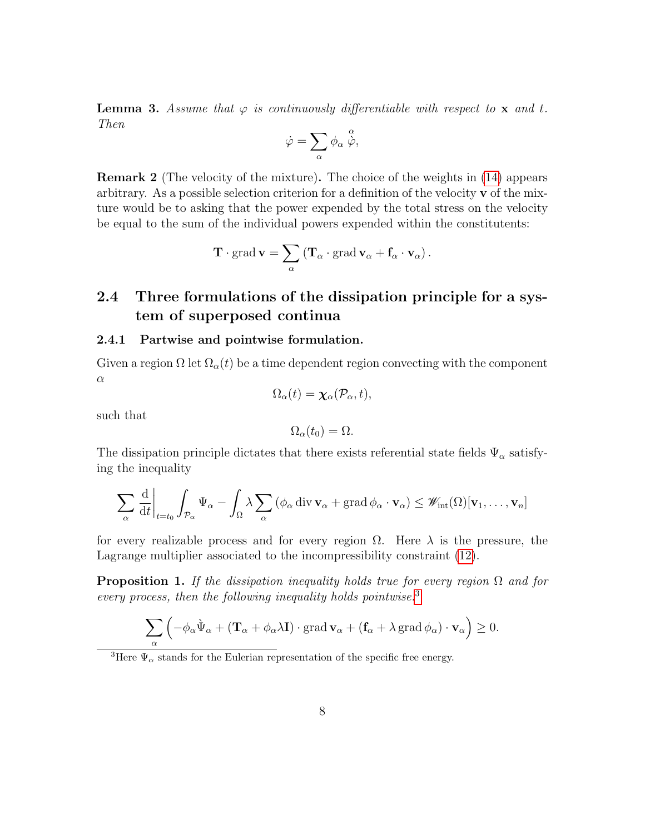**Lemma 3.** Assume that  $\varphi$  is continuously differentiable with respect to **x** and t. Then

$$
\dot{\varphi} = \sum_{\alpha} \phi_{\alpha} \stackrel{\alpha}{\dot{\varphi}},
$$

Remark 2 (The velocity of the mixture). The choice of the weights in [\(14\)](#page-6-1) appears arbitrary. As a possible selection criterion for a definition of the velocity  $\bf{v}$  of the mixture would be to asking that the power expended by the total stress on the velocity be equal to the sum of the individual powers expended within the constitutents:

$$
\mathbf{T}\cdot\mathrm{grad}\,\mathbf{v}=\sum_{\alpha}\left(\mathbf{T}_{\alpha}\cdot\mathrm{grad}\,\mathbf{v}_{\alpha}+\mathbf{f}_{\alpha}\cdot\mathbf{v}_{\alpha}\right).
$$

# 2.4 Three formulations of the dissipation principle for a system of superposed continua

#### 2.4.1 Partwise and pointwise formulation.

Given a region  $\Omega$  let  $\Omega_{\alpha}(t)$  be a time dependent region convecting with the component  $\alpha$  $(1)$   $(2)$ 

$$
\Omega_{\alpha}(t)=\boldsymbol{\chi}_{\alpha}(\mathcal{P}_{\alpha},t),
$$

such that

$$
\Omega_{\alpha}(t_0) = \Omega.
$$

The dissipation principle dictates that there exists referential state fields  $\Psi_{\alpha}$  satisfying the inequality

$$
\sum_{\alpha} \frac{d}{dt} \bigg|_{t=t_0} \int_{\mathcal{P}_{\alpha}} \Psi_{\alpha} - \int_{\Omega} \lambda \sum_{\alpha} \left( \phi_{\alpha} \operatorname{div} \mathbf{v}_{\alpha} + \operatorname{grad} \phi_{\alpha} \cdot \mathbf{v}_{\alpha} \right) \leq \mathscr{W}_{\text{int}}(\Omega) [\mathbf{v}_1, \dots, \mathbf{v}_n]
$$

for every realizable process and for every region  $\Omega$ . Here  $\lambda$  is the pressure, the Lagrange multiplier associated to the incompressibility constraint [\(12\)](#page-6-2).

**Proposition 1.** If the dissipation inequality holds true for every region  $\Omega$  and for every process, then the following inequality holds pointwise. $3$ 

$$
\sum_{\alpha} \left( -\phi_{\alpha} \hat{\Psi}_{\alpha} + (\mathbf{T}_{\alpha} + \phi_{\alpha} \lambda \mathbf{I}) \cdot \operatorname{grad} \mathbf{v}_{\alpha} + (\mathbf{f}_{\alpha} + \lambda \operatorname{grad} \phi_{\alpha}) \cdot \mathbf{v}_{\alpha} \right) \ge 0.
$$

<span id="page-7-0"></span><sup>3</sup>Here  $\Psi_{\alpha}$  stands for the Eulerian representation of the specific free energy.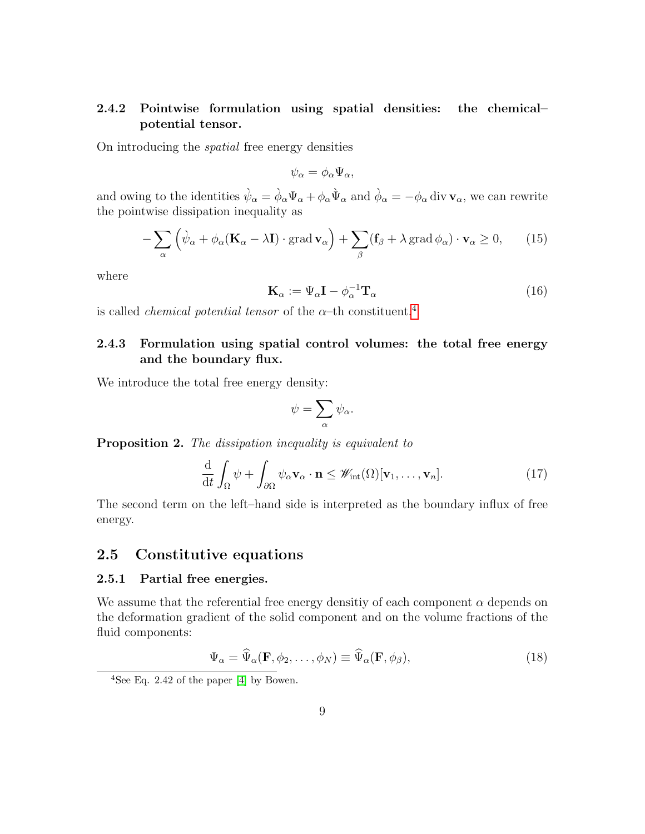## 2.4.2 Pointwise formulation using spatial densities: the chemical– potential tensor.

On introducing the spatial free energy densities

<span id="page-8-2"></span>
$$
\psi_{\alpha} = \phi_{\alpha} \Psi_{\alpha},
$$

and owing to the identities  $\dot{\psi}_{\alpha} = \dot{\phi}_{\alpha} \Psi_{\alpha} + \phi_{\alpha} \dot{\Psi}_{\alpha}$  and  $\dot{\phi}_{\alpha} = -\phi_{\alpha}$  div  $\mathbf{v}_{\alpha}$ , we can rewrite the pointwise dissipation inequality as

$$
-\sum_{\alpha} \left( \hat{\psi}_{\alpha} + \phi_{\alpha} (\mathbf{K}_{\alpha} - \lambda \mathbf{I}) \cdot \text{grad} \, \mathbf{v}_{\alpha} \right) + \sum_{\beta} (\mathbf{f}_{\beta} + \lambda \, \text{grad} \, \phi_{\alpha}) \cdot \mathbf{v}_{\alpha} \ge 0, \qquad (15)
$$

<span id="page-8-3"></span>where

$$
\mathbf{K}_{\alpha} := \Psi_{\alpha} \mathbf{I} - \phi_{\alpha}^{-1} \mathbf{T}_{\alpha} \tag{16}
$$

is called *chemical potential tensor* of the  $\alpha$ –th constituent.<sup>[4](#page-8-1)</sup>

## 2.4.3 Formulation using spatial control volumes: the total free energy and the boundary flux.

We introduce the total free energy density:

$$
\psi = \sum_{\alpha} \psi_{\alpha}.
$$

**Proposition 2.** The dissipation inequality is equivalent to

$$
\frac{\mathrm{d}}{\mathrm{d}t} \int_{\Omega} \psi + \int_{\partial \Omega} \psi_{\alpha} \mathbf{v}_{\alpha} \cdot \mathbf{n} \leq \mathscr{W}_{\mathrm{int}}(\Omega) [\mathbf{v}_1, \dots, \mathbf{v}_n]. \tag{17}
$$

The second term on the left–hand side is interpreted as the boundary influx of free energy.

## 2.5 Constitutive equations

## 2.5.1 Partial free energies.

We assume that the referential free energy densitiy of each component  $\alpha$  depends on the deformation gradient of the solid component and on the volume fractions of the fluid components:

<span id="page-8-0"></span>
$$
\Psi_{\alpha} = \widehat{\Psi}_{\alpha}(\mathbf{F}, \phi_2, \dots, \phi_N) \equiv \widehat{\Psi}_{\alpha}(\mathbf{F}, \phi_{\beta}), \tag{18}
$$

<span id="page-8-1"></span> $\frac{4 \text{See Eq. 2.42 of the paper [4] by Bowen.}}{4 \text{See Eq. 2.42 of the paper [4] by Bowen.}}$  $\frac{4 \text{See Eq. 2.42 of the paper [4] by Bowen.}}{4 \text{See Eq. 2.42 of the paper [4] by Bowen.}}$  $\frac{4 \text{See Eq. 2.42 of the paper [4] by Bowen.}}{4 \text{See Eq. 2.42 of the paper [4] by Bowen.}}$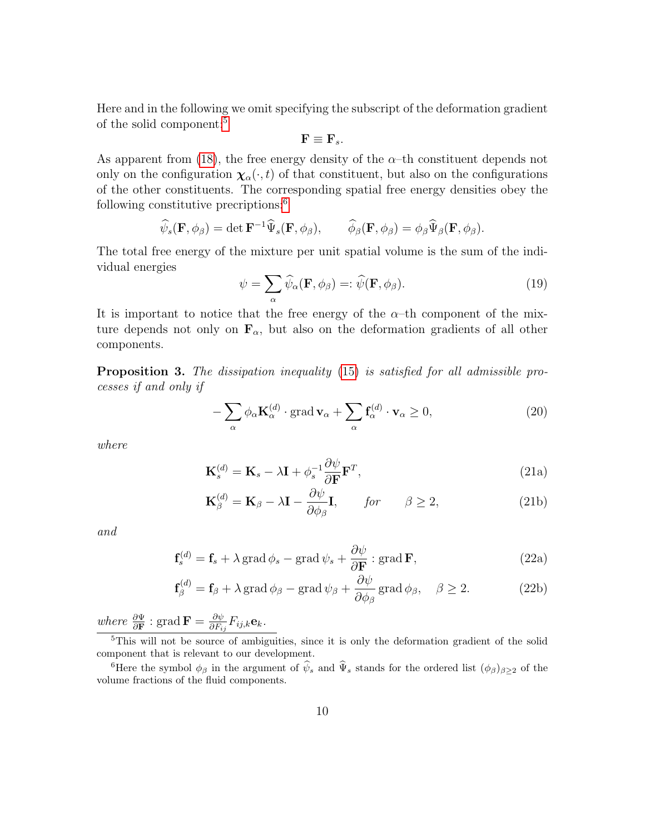Here and in the following we omit specifying the subscript of the deformation gradient of the solid component:<sup>[5](#page-9-0)</sup>

$$
\mathbf{F}\equiv\mathbf{F}_{s}.
$$

As apparent from [\(18\)](#page-8-0), the free energy density of the  $\alpha$ –th constituent depends not only on the configuration  $\chi_{\alpha}(\cdot,t)$  of that constituent, but also on the configurations of the other constituents. The corresponding spatial free energy densities obey the following constitutive precriptions:[6](#page-9-1)

$$
\widehat{\psi}_s(\mathbf{F},\phi_\beta) = \det \mathbf{F}^{-1} \widehat{\Psi}_s(\mathbf{F},\phi_\beta), \qquad \widehat{\phi}_\beta(\mathbf{F},\phi_\beta) = \phi_\beta \widehat{\Psi}_\beta(\mathbf{F},\phi_\beta).
$$

The total free energy of the mixture per unit spatial volume is the sum of the individual energies

$$
\psi = \sum_{\alpha} \widehat{\psi}_{\alpha}(\mathbf{F}, \phi_{\beta}) =: \widehat{\psi}(\mathbf{F}, \phi_{\beta}). \tag{19}
$$

It is important to notice that the free energy of the  $\alpha$ -th component of the mixture depends not only on  $\mathbf{F}_{\alpha}$ , but also on the deformation gradients of all other components.

<span id="page-9-3"></span>Proposition 3. The dissipation inequality [\(15\)](#page-8-2) is satisfied for all admissible processes if and only if

$$
-\sum_{\alpha} \phi_{\alpha} \mathbf{K}_{\alpha}^{(d)} \cdot \text{grad} \mathbf{v}_{\alpha} + \sum_{\alpha} \mathbf{f}_{\alpha}^{(d)} \cdot \mathbf{v}_{\alpha} \ge 0, \tag{20}
$$

where

$$
\mathbf{K}_s^{(d)} = \mathbf{K}_s - \lambda \mathbf{I} + \phi_s^{-1} \frac{\partial \psi}{\partial \mathbf{F}} \mathbf{F}^T,
$$
\n(21a)

$$
\mathbf{K}_{\beta}^{(d)} = \mathbf{K}_{\beta} - \lambda \mathbf{I} - \frac{\partial \psi}{\partial \phi_{\beta}} \mathbf{I}, \qquad \text{for} \qquad \beta \ge 2, \tag{21b}
$$

<span id="page-9-2"></span>and

$$
\mathbf{f}_s^{(d)} = \mathbf{f}_s + \lambda \operatorname{grad} \phi_s - \operatorname{grad} \psi_s + \frac{\partial \psi}{\partial \mathbf{F}} : \operatorname{grad} \mathbf{F},\tag{22a}
$$

$$
\mathbf{f}_{\beta}^{(d)} = \mathbf{f}_{\beta} + \lambda \operatorname{grad} \phi_{\beta} - \operatorname{grad} \psi_{\beta} + \frac{\partial \psi}{\partial \phi_{\beta}} \operatorname{grad} \phi_{\beta}, \quad \beta \ge 2.
$$
 (22b)

where  $\frac{\partial \Psi}{\partial \mathbf{F}}$ : grad  $\mathbf{F} = \frac{\partial \psi}{\partial F_i}$  $\frac{\partial \psi}{\partial F_{ij}}F_{ij,k}\mathbf{e}_k.$ 

<span id="page-9-0"></span><sup>5</sup>This will not be source of ambiguities, since it is only the deformation gradient of the solid component that is relevant to our development.

<span id="page-9-1"></span><sup>6</sup>Here the symbol  $\phi_\beta$  in the argument of  $\hat{\psi}_s$  and  $\hat{\Psi}_s$  stands for the ordered list  $(\phi_\beta)_{\beta\geq 2}$  of the volume fractions of the fluid components.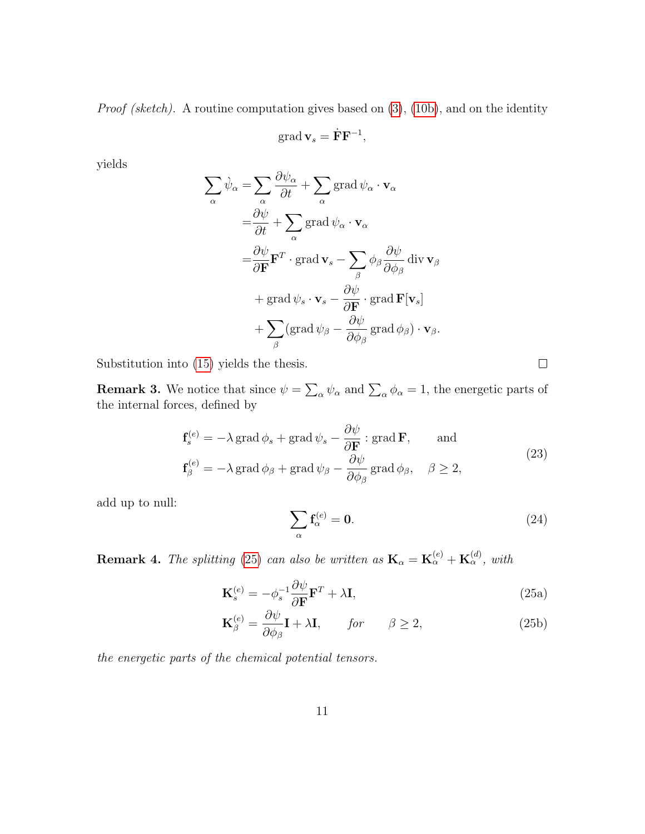Proof (sketch). A routine computation gives based on [\(3\)](#page-3-0), [\(10b\)](#page-2-0), and on the identity

$$
\operatorname{grad} \mathbf{v}_s = \dot{\mathbf{F}} \mathbf{F}^{-1},
$$

yields

$$
\sum_{\alpha} \dot{\psi}_{\alpha} = \sum_{\alpha} \frac{\partial \psi_{\alpha}}{\partial t} + \sum_{\alpha} \text{grad } \psi_{\alpha} \cdot \mathbf{v}_{\alpha}
$$
  
\n
$$
= \frac{\partial \psi}{\partial t} + \sum_{\alpha} \text{grad } \psi_{\alpha} \cdot \mathbf{v}_{\alpha}
$$
  
\n
$$
= \frac{\partial \psi}{\partial \mathbf{F}} \mathbf{F}^{T} \cdot \text{grad } \mathbf{v}_{s} - \sum_{\beta} \phi_{\beta} \frac{\partial \psi}{\partial \phi_{\beta}} \text{div } \mathbf{v}_{\beta}
$$
  
\n
$$
+ \text{grad } \psi_{s} \cdot \mathbf{v}_{s} - \frac{\partial \psi}{\partial \mathbf{F}} \cdot \text{grad } \mathbf{F}[\mathbf{v}_{s}]
$$
  
\n
$$
+ \sum_{\beta} (\text{grad } \psi_{\beta} - \frac{\partial \psi}{\partial \phi_{\beta}} \text{ grad } \phi_{\beta}) \cdot \mathbf{v}_{\beta}.
$$

Substitution into [\(15\)](#page-8-2) yields the thesis.

**Remark 3.** We notice that since  $\psi = \sum_{\alpha} \psi_{\alpha}$  and  $\sum_{\alpha} \phi_{\alpha} = 1$ , the energetic parts of the internal forces, defined by

$$
\mathbf{f}_{s}^{(e)} = -\lambda \operatorname{grad} \phi_{s} + \operatorname{grad} \psi_{s} - \frac{\partial \psi}{\partial \mathbf{F}} : \operatorname{grad} \mathbf{F}, \quad \text{and}
$$
\n
$$
\mathbf{f}_{\beta}^{(e)} = -\lambda \operatorname{grad} \phi_{\beta} + \operatorname{grad} \psi_{\beta} - \frac{\partial \psi}{\partial \phi_{\beta}} \operatorname{grad} \phi_{\beta}, \quad \beta \ge 2,
$$
\n(23)

add up to null:

$$
\sum_{\alpha} \mathbf{f}_{\alpha}^{(e)} = \mathbf{0}.\tag{24}
$$

**Remark 4.** The splitting [\(25\)](#page-10-0) can also be written as  $\mathbf{K}_{\alpha} = \mathbf{K}_{\alpha}^{(e)} + \mathbf{K}_{\alpha}^{(d)}$ , with

$$
\mathbf{K}_s^{(e)} = -\phi_s^{-1} \frac{\partial \psi}{\partial \mathbf{F}} \mathbf{F}^T + \lambda \mathbf{I},\tag{25a}
$$

$$
\mathbf{K}_{\beta}^{(e)} = \frac{\partial \psi}{\partial \phi_{\beta}} \mathbf{I} + \lambda \mathbf{I}, \qquad \text{for} \qquad \beta \ge 2, \tag{25b}
$$

the energetic parts of the chemical potential tensors.

<span id="page-10-0"></span> $\Box$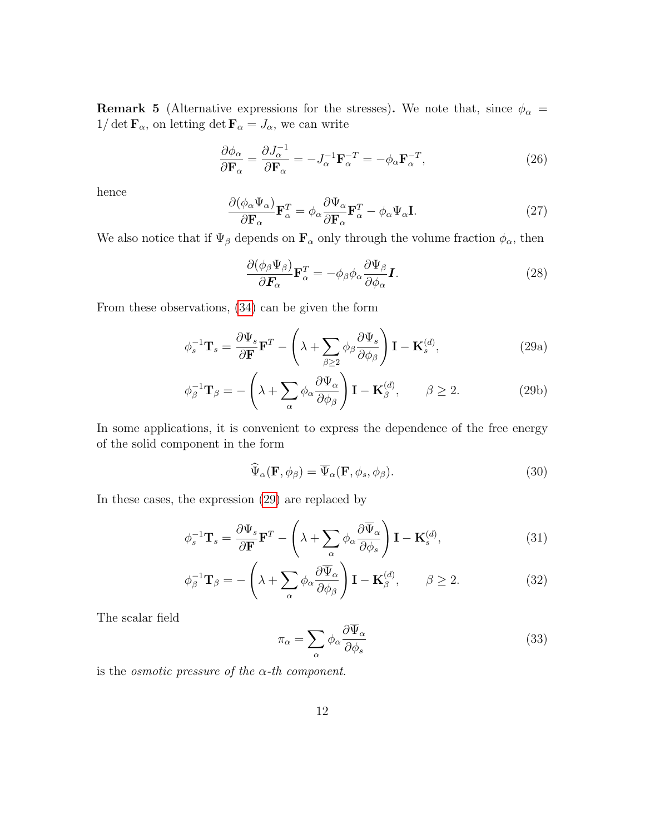**Remark 5** (Alternative expressions for the stresses). We note that, since  $\phi_{\alpha}$  =  $1/\det\mathbf{F}_\alpha,$  on letting  $\det\mathbf{F}_\alpha=J_\alpha,$  we can write

$$
\frac{\partial \phi_{\alpha}}{\partial \mathbf{F}_{\alpha}} = \frac{\partial J_{\alpha}^{-1}}{\partial \mathbf{F}_{\alpha}} = -J_{\alpha}^{-1} \mathbf{F}_{\alpha}^{-T} = -\phi_{\alpha} \mathbf{F}_{\alpha}^{-T},\tag{26}
$$

hence

$$
\frac{\partial(\phi_{\alpha}\Psi_{\alpha})}{\partial \mathbf{F}_{\alpha}}\mathbf{F}_{\alpha}^{T} = \phi_{\alpha}\frac{\partial\Psi_{\alpha}}{\partial \mathbf{F}_{\alpha}}\mathbf{F}_{\alpha}^{T} - \phi_{\alpha}\Psi_{\alpha}\mathbf{I}.
$$
\n(27)

We also notice that if  $\Psi_{\beta}$  depends on  $\mathbf{F}_{\alpha}$  only through the volume fraction  $\phi_{\alpha}$ , then

<span id="page-11-0"></span>
$$
\frac{\partial(\phi_{\beta}\Psi_{\beta})}{\partial \boldsymbol{F}_{\alpha}}\mathbf{F}_{\alpha}^{T} = -\phi_{\beta}\phi_{\alpha}\frac{\partial\Psi_{\beta}}{\partial\phi_{\alpha}}\boldsymbol{I}.
$$
\n(28)

From these observations, [\(34\)](#page-12-0) can be given the form

$$
\phi_s^{-1} \mathbf{T}_s = \frac{\partial \Psi_s}{\partial \mathbf{F}} \mathbf{F}^T - \left( \lambda + \sum_{\beta \ge 2} \phi_\beta \frac{\partial \Psi_s}{\partial \phi_\beta} \right) \mathbf{I} - \mathbf{K}_s^{(d)},\tag{29a}
$$

$$
\phi_{\beta}^{-1} \mathbf{T}_{\beta} = -\left(\lambda + \sum_{\alpha} \phi_{\alpha} \frac{\partial \Psi_{\alpha}}{\partial \phi_{\beta}}\right) \mathbf{I} - \mathbf{K}_{\beta}^{(d)}, \qquad \beta \ge 2. \tag{29b}
$$

In some applications, it is convenient to express the dependence of the free energy of the solid component in the form

$$
\widehat{\Psi}_{\alpha}(\mathbf{F}, \phi_{\beta}) = \overline{\Psi}_{\alpha}(\mathbf{F}, \phi_s, \phi_{\beta}).
$$
\n(30)

In these cases, the expression [\(29\)](#page-11-0) are replaced by

$$
\phi_s^{-1} \mathbf{T}_s = \frac{\partial \Psi_s}{\partial \mathbf{F}} \mathbf{F}^T - \left( \lambda + \sum_{\alpha} \phi_{\alpha} \frac{\partial \overline{\Psi}_{\alpha}}{\partial \phi_s} \right) \mathbf{I} - \mathbf{K}_s^{(d)},\tag{31}
$$

$$
\phi_{\beta}^{-1} \mathbf{T}_{\beta} = -\left(\lambda + \sum_{\alpha} \phi_{\alpha} \frac{\partial \overline{\Psi}_{\alpha}}{\partial \phi_{\beta}}\right) \mathbf{I} - \mathbf{K}_{\beta}^{(d)}, \qquad \beta \ge 2. \tag{32}
$$

The scalar field

$$
\pi_{\alpha} = \sum_{\alpha} \phi_{\alpha} \frac{\partial \overline{\Psi}_{\alpha}}{\partial \phi_{s}} \tag{33}
$$

is the *osmotic pressure of the*  $\alpha$ -th *component*.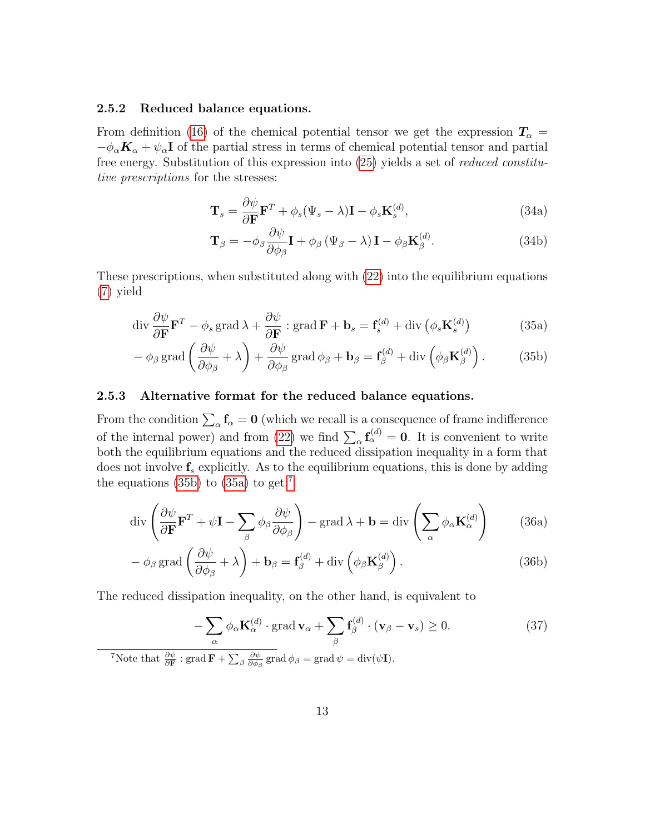#### 2.5.2 Reduced balance equations.

From definition [\(16\)](#page-8-3) of the chemical potential tensor we get the expression  $T_{\alpha}$  =  $-\phi_{\alpha}K_{\alpha} + \psi_{\alpha}I$  of the partial stress in terms of chemical potential tensor and partial free energy. Substitution of this expression into [\(25\)](#page-10-0) yields a set of reduced constitutive prescriptions for the stresses:

<span id="page-12-0"></span>
$$
\mathbf{T}_s = \frac{\partial \psi}{\partial \mathbf{F}} \mathbf{F}^T + \phi_s (\Psi_s - \lambda) \mathbf{I} - \phi_s \mathbf{K}_s^{(d)},
$$
\n(34a)

$$
\mathbf{T}_{\beta} = -\phi_{\beta} \frac{\partial \psi}{\partial \phi_{\beta}} \mathbf{I} + \phi_{\beta} (\Psi_{\beta} - \lambda) \mathbf{I} - \phi_{\beta} \mathbf{K}_{\beta}^{(d)}.
$$
 (34b)

These prescriptions, when substituted along with [\(22\)](#page-9-2) into the equilibrium equations [\(7\)](#page-4-0) yield

<span id="page-12-4"></span>
$$
\operatorname{div} \frac{\partial \psi}{\partial \mathbf{F}} \mathbf{F}^T - \phi_s \operatorname{grad} \lambda + \frac{\partial \psi}{\partial \mathbf{F}} : \operatorname{grad} \mathbf{F} + \mathbf{b}_s = \mathbf{f}_s^{(d)} + \operatorname{div} \left( \phi_s \mathbf{K}_s^{(d)} \right)
$$
(35a)

$$
- \phi_{\beta} \operatorname{grad} \left( \frac{\partial \psi}{\partial \phi_{\beta}} + \lambda \right) + \frac{\partial \psi}{\partial \phi_{\beta}} \operatorname{grad} \phi_{\beta} + \mathbf{b}_{\beta} = \mathbf{f}_{\beta}^{(d)} + \operatorname{div} \left( \phi_{\beta} \mathbf{K}_{\beta}^{(d)} \right). \tag{35b}
$$

## 2.5.3 Alternative format for the reduced balance equations.

From the condition  $\sum_{\alpha} \mathbf{f}_{\alpha} = \mathbf{0}$  (which we recall is a consequence of frame indifference of the internal power) and from [\(22\)](#page-9-2) we find  $\sum_{\alpha} f_{\alpha}^{(d)} = 0$ . It is convenient to write both the equilibrium equations and the reduced dissipation inequality in a form that does not involve  $f_s$  explicitly. As to the equilibrium equations, this is done by adding the equations [\(35b\)](#page-2-0) to [\(35a\)](#page-2-2) to get:<sup>[7](#page-12-1)</sup>

<span id="page-12-2"></span>
$$
\operatorname{div}\left(\frac{\partial\psi}{\partial\mathbf{F}}\mathbf{F}^T + \psi\mathbf{I} - \sum_{\beta}\phi_{\beta}\frac{\partial\psi}{\partial\phi_{\beta}}\right) - \operatorname{grad}\lambda + \mathbf{b} = \operatorname{div}\left(\sum_{\alpha}\phi_{\alpha}\mathbf{K}_{\alpha}^{(d)}\right) \tag{36a}
$$

$$
-\phi_{\beta}\operatorname{grad}\left(\frac{\partial\psi}{\partial\phi_{\beta}}+\lambda\right)+\mathbf{b}_{\beta}=\mathbf{f}_{\beta}^{(d)}+\operatorname{div}\left(\phi_{\beta}\mathbf{K}_{\beta}^{(d)}\right).
$$
 (36b)

The reduced dissipation inequality, on the other hand, is equivalent to

<span id="page-12-3"></span>
$$
-\sum_{\alpha} \phi_{\alpha} \mathbf{K}_{\alpha}^{(d)} \cdot \text{grad } \mathbf{v}_{\alpha} + \sum_{\beta} \mathbf{f}_{\beta}^{(d)} \cdot (\mathbf{v}_{\beta} - \mathbf{v}_{s}) \ge 0. \tag{37}
$$

<span id="page-12-1"></span><sup>7</sup>Note that  $\frac{\partial \psi}{\partial \mathbf{F}}$ : grad  $\mathbf{F} + \sum_{\beta} \frac{\partial \psi}{\partial \phi_{\beta}}$  grad  $\phi_{\beta} =$  grad  $\psi = \text{div}(\psi \mathbf{I})$ .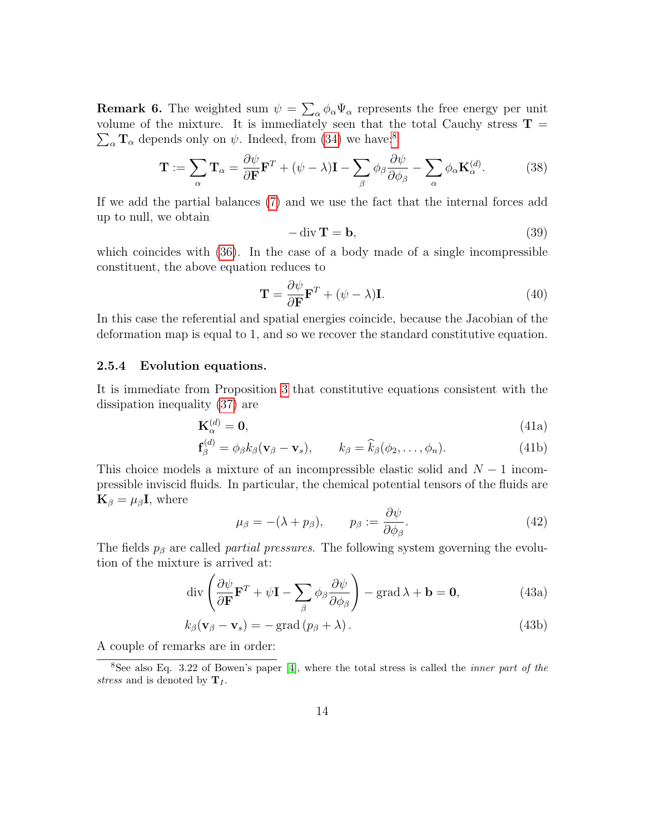**Remark 6.** The weighted sum  $\psi = \sum_{\alpha} \phi_{\alpha} \Psi_{\alpha}$  represents the free energy per unit volume of the mixture. It is immediately seen that the total Cauchy stress  $T =$  $\sum_{\alpha} \mathbf{T}_{\alpha}$  depends only on  $\psi$ . Indeed, from [\(34\)](#page-12-0) we have:<sup>[8](#page-13-0)</sup>

$$
\mathbf{T} := \sum_{\alpha} \mathbf{T}_{\alpha} = \frac{\partial \psi}{\partial \mathbf{F}} \mathbf{F}^{T} + (\psi - \lambda) \mathbf{I} - \sum_{\beta} \phi_{\beta} \frac{\partial \psi}{\partial \phi_{\beta}} - \sum_{\alpha} \phi_{\alpha} \mathbf{K}_{\alpha}^{(d)}.
$$
 (38)

If we add the partial balances [\(7\)](#page-4-0) and we use the fact that the internal forces add up to null, we obtain

$$
-\operatorname{div} \mathbf{T} = \mathbf{b},\tag{39}
$$

which coincides with [\(36\)](#page-12-2). In the case of a body made of a single incompressible constituent, the above equation reduces to

$$
\mathbf{T} = \frac{\partial \psi}{\partial \mathbf{F}} \mathbf{F}^T + (\psi - \lambda) \mathbf{I}.
$$
 (40)

In this case the referential and spatial energies coincide, because the Jacobian of the deformation map is equal to 1, and so we recover the standard constitutive equation.

## 2.5.4 Evolution equations.

It is immediate from Proposition [3](#page-9-3) that constitutive equations consistent with the dissipation inequality [\(37\)](#page-12-3) are

$$
\mathbf{K}_{\alpha}^{(d)} = \mathbf{0},\tag{41a}
$$

$$
\mathbf{f}_{\beta}^{(d)} = \phi_{\beta} k_{\beta} (\mathbf{v}_{\beta} - \mathbf{v}_{s}), \qquad k_{\beta} = \widehat{k}_{\beta} (\phi_{2}, \dots, \phi_{n}). \tag{41b}
$$

This choice models a mixture of an incompressible elastic solid and  $N-1$  incompressible inviscid fluids. In particular, the chemical potential tensors of the fluids are  $\mathbf{K}_{\beta} = \mu_{\beta} \mathbf{I}$ , where

$$
\mu_{\beta} = -(\lambda + p_{\beta}), \qquad p_{\beta} := \frac{\partial \psi}{\partial \phi_{\beta}}.
$$
\n(42)

The fields  $p<sub>\beta</sub>$  are called *partial pressures*. The following system governing the evolution of the mixture is arrived at:

$$
\operatorname{div}\left(\frac{\partial\psi}{\partial\mathbf{F}}\mathbf{F}^T + \psi\mathbf{I} - \sum_{\beta}\phi_{\beta}\frac{\partial\psi}{\partial\phi_{\beta}}\right) - \operatorname{grad}\lambda + \mathbf{b} = \mathbf{0},\tag{43a}
$$

$$
k_{\beta}(\mathbf{v}_{\beta} - \mathbf{v}_{s}) = -\operatorname{grad}(p_{\beta} + \lambda). \tag{43b}
$$

A couple of remarks are in order:

<span id="page-13-0"></span><sup>8</sup>See also Eq. 3.22 of Bowen's paper [\[4\]](#page-23-0), where the total stress is called the *inner part of the* stress and is denoted by  $T_I$ .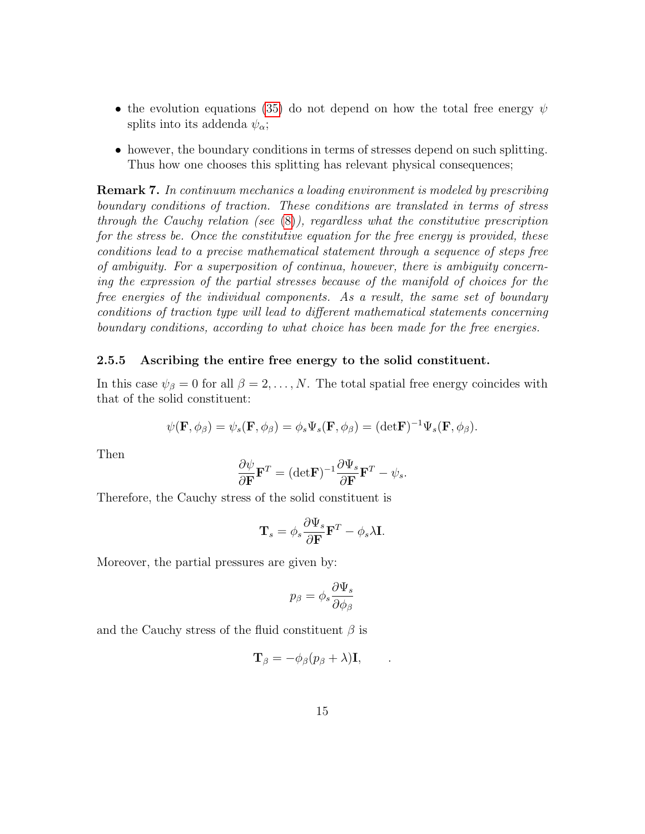- the evolution equations [\(35\)](#page-12-4) do not depend on how the total free energy  $\psi$ splits into its addenda  $\psi_{\alpha}$ ;
- however, the boundary conditions in terms of stresses depend on such splitting. Thus how one chooses this splitting has relevant physical consequences;

Remark 7. In continuum mechanics a loading environment is modeled by prescribing boundary conditions of traction. These conditions are translated in terms of stress through the Cauchy relation (see  $(8)$ ), regardless what the constitutive prescription for the stress be. Once the constitutive equation for the free energy is provided, these conditions lead to a precise mathematical statement through a sequence of steps free of ambiguity. For a superposition of continua, however, there is ambiguity concerning the expression of the partial stresses because of the manifold of choices for the free energies of the individual components. As a result, the same set of boundary conditions of traction type will lead to different mathematical statements concerning boundary conditions, according to what choice has been made for the free energies.

### 2.5.5 Ascribing the entire free energy to the solid constituent.

In this case  $\psi_{\beta} = 0$  for all  $\beta = 2, \ldots, N$ . The total spatial free energy coincides with that of the solid constituent:

$$
\psi(\mathbf{F},\phi_{\beta})=\psi_s(\mathbf{F},\phi_{\beta})=\phi_s\Psi_s(\mathbf{F},\phi_{\beta})=(\mathrm{det}\mathbf{F})^{-1}\Psi_s(\mathbf{F},\phi_{\beta}).
$$

Then

$$
\frac{\partial \psi}{\partial \mathbf{F}} \mathbf{F}^T = (\det \mathbf{F})^{-1} \frac{\partial \Psi_s}{\partial \mathbf{F}} \mathbf{F}^T - \psi_s.
$$

Therefore, the Cauchy stress of the solid constituent is

$$
\mathbf{T}_s = \phi_s \frac{\partial \Psi_s}{\partial \mathbf{F}} \mathbf{F}^T - \phi_s \lambda \mathbf{I}.
$$

Moreover, the partial pressures are given by:

$$
p_{\beta}=\phi_s\frac{\partial \Psi_s}{\partial \phi_{\beta}}
$$

and the Cauchy stress of the fluid constituent  $\beta$  is

$$
\mathbf{T}_{\beta} = -\phi_{\beta}(p_{\beta} + \lambda)\mathbf{I}, \qquad .
$$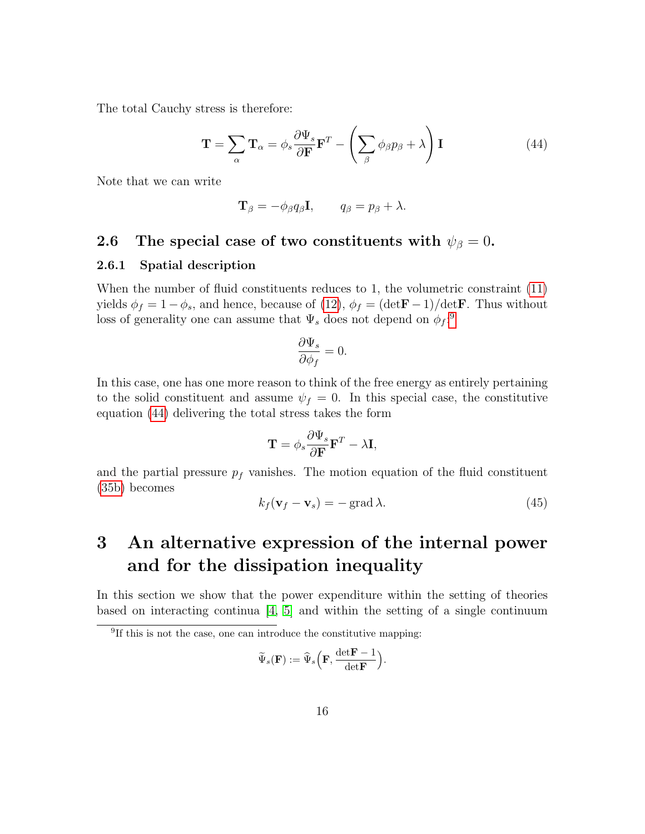The total Cauchy stress is therefore:

<span id="page-15-1"></span>
$$
\mathbf{T} = \sum_{\alpha} \mathbf{T}_{\alpha} = \phi_{s} \frac{\partial \Psi_{s}}{\partial \mathbf{F}} \mathbf{F}^{T} - \left( \sum_{\beta} \phi_{\beta} p_{\beta} + \lambda \right) \mathbf{I}
$$
(44)

Note that we can write

$$
\mathbf{T}_{\beta} = -\phi_{\beta} q_{\beta} \mathbf{I}, \qquad q_{\beta} = p_{\beta} + \lambda.
$$

# 2.6 The special case of two constituents with  $\psi_{\beta}=0$ .

### 2.6.1 Spatial description

When the number of fluid constituents reduces to 1, the volumetric constraint  $(11)$ yields  $\phi_f = 1 - \phi_s$ , and hence, because of [\(12\)](#page-6-2),  $\phi_f = (\text{det} \mathbf{F} - 1)/\text{det} \mathbf{F}$ . Thus without loss of generality one can assume that  $\Psi_s$  does not depend on  $\phi_f$ <sup>2</sup>

$$
\frac{\partial \Psi_s}{\partial \phi_f} = 0.
$$

In this case, one has one more reason to think of the free energy as entirely pertaining to the solid constituent and assume  $\psi_f = 0$ . In this special case, the constitutive equation [\(44\)](#page-15-1) delivering the total stress takes the form

$$
\mathbf{T} = \phi_s \frac{\partial \Psi_s}{\partial \mathbf{F}} \mathbf{F}^T - \lambda \mathbf{I},
$$

and the partial pressure  $p_f$  vanishes. The motion equation of the fluid constituent [\(35b\)](#page-2-0) becomes

<span id="page-15-2"></span>
$$
k_f(\mathbf{v}_f - \mathbf{v}_s) = -\operatorname{grad}\lambda. \tag{45}
$$

# 3 An alternative expression of the internal power and for the dissipation inequality

In this section we show that the power expenditure within the setting of theories based on interacting continua  $\begin{bmatrix} 4 \\ 5 \end{bmatrix}$  and within the setting of a single continuum

$$
\widetilde{\Psi}_s(\mathbf{F}) := \widehat{\Psi}_s\left(\mathbf{F}, \frac{\det \mathbf{F} - 1}{\det \mathbf{F}}\right).
$$

<span id="page-15-0"></span><sup>&</sup>lt;sup>9</sup>If this is not the case, one can introduce the constitutive mapping: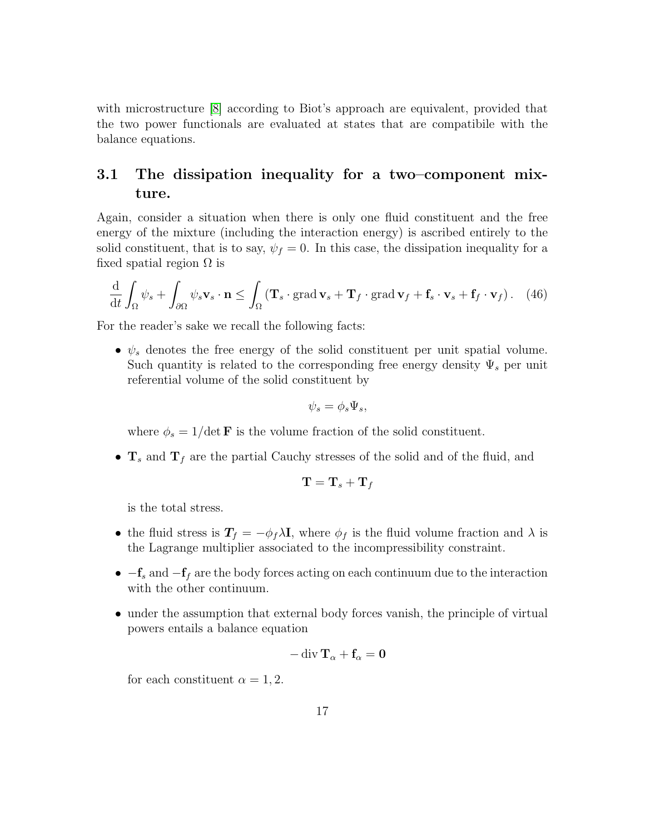with microstructure [\[8\]](#page-23-5) according to Biot's approach are equivalent, provided that the two power functionals are evaluated at states that are compatibile with the balance equations.

## 3.1 The dissipation inequality for a two–component mixture.

Again, consider a situation when there is only one fluid constituent and the free energy of the mixture (including the interaction energy) is ascribed entirely to the solid constituent, that is to say,  $\psi_f = 0$ . In this case, the dissipation inequality for a fixed spatial region  $\Omega$  is

$$
\frac{\mathrm{d}}{\mathrm{d}t} \int_{\Omega} \psi_s + \int_{\partial \Omega} \psi_s \mathbf{v}_s \cdot \mathbf{n} \le \int_{\Omega} \left( \mathbf{T}_s \cdot \text{grad } \mathbf{v}_s + \mathbf{T}_f \cdot \text{grad } \mathbf{v}_f + \mathbf{f}_s \cdot \mathbf{v}_s + \mathbf{f}_f \cdot \mathbf{v}_f \right). \tag{46}
$$

For the reader's sake we recall the following facts:

•  $\psi_s$  denotes the free energy of the solid constituent per unit spatial volume. Such quantity is related to the corresponding free energy density  $\Psi_s$  per unit referential volume of the solid constituent by

$$
\psi_s = \phi_s \Psi_s,
$$

where  $\phi_s = 1/\det \mathbf{F}$  is the volume fraction of the solid constituent.

•  $\mathbf{T}_s$  and  $\mathbf{T}_f$  are the partial Cauchy stresses of the solid and of the fluid, and

$$
\mathbf{T}=\mathbf{T}_s+\mathbf{T}_f
$$

is the total stress.

- the fluid stress is  $T_f = -\phi_f \lambda I$ , where  $\phi_f$  is the fluid volume fraction and  $\lambda$  is the Lagrange multiplier associated to the incompressibility constraint.
- $-f_s$  and  $-f_f$  are the body forces acting on each continuum due to the interaction with the other continuum.
- under the assumption that external body forces vanish, the principle of virtual powers entails a balance equation

$$
-\mathop{\mathrm{div}}\nolimits\mathbf{T}_{\alpha}+\mathbf{f}_{\alpha}=\mathbf{0}
$$

for each constituent  $\alpha = 1, 2$ .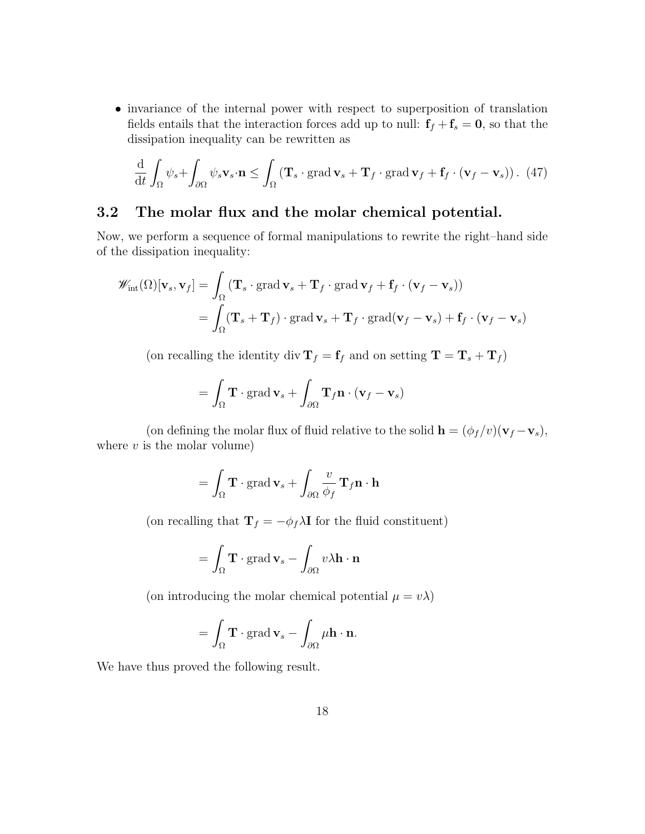• invariance of the internal power with respect to superposition of translation fields entails that the interaction forces add up to null:  $f_f + f_s = 0$ , so that the dissipation inequality can be rewritten as

<span id="page-17-0"></span>
$$
\frac{\mathrm{d}}{\mathrm{d}t} \int_{\Omega} \psi_s + \int_{\partial \Omega} \psi_s \mathbf{v}_s \cdot \mathbf{n} \le \int_{\Omega} \left( \mathbf{T}_s \cdot \text{grad } \mathbf{v}_s + \mathbf{T}_f \cdot \text{grad } \mathbf{v}_f + \mathbf{f}_f \cdot (\mathbf{v}_f - \mathbf{v}_s) \right). \tag{47}
$$

## 3.2 The molar flux and the molar chemical potential.

Now, we perform a sequence of formal manipulations to rewrite the right–hand side of the dissipation inequality:

$$
\mathscr{W}_{\text{int}}(\Omega)[\mathbf{v}_s, \mathbf{v}_f] = \int_{\Omega} (\mathbf{T}_s \cdot \text{grad } \mathbf{v}_s + \mathbf{T}_f \cdot \text{grad } \mathbf{v}_f + \mathbf{f}_f \cdot (\mathbf{v}_f - \mathbf{v}_s))
$$
  
= 
$$
\int_{\Omega} (\mathbf{T}_s + \mathbf{T}_f) \cdot \text{grad } \mathbf{v}_s + \mathbf{T}_f \cdot \text{grad}(\mathbf{v}_f - \mathbf{v}_s) + \mathbf{f}_f \cdot (\mathbf{v}_f - \mathbf{v}_s))
$$

(on recalling the identity  $\mathrm{div}\, \mathbf{T}_f = \mathbf{f}_f$  and on setting  $\mathbf{T} = \mathbf{T}_s + \mathbf{T}_f)$ 

$$
= \int_{\Omega} \mathbf{T} \cdot \text{grad } \mathbf{v}_s + \int_{\partial \Omega} \mathbf{T}_f \mathbf{n} \cdot (\mathbf{v}_f - \mathbf{v}_s)
$$

(on defining the molar flux of fluid relative to the solid  $\mathbf{h} = (\phi_f/v)(\mathbf{v}_f - \mathbf{v}_s)$ , where  $v$  is the molar volume)

$$
= \int_{\Omega} \mathbf{T} \cdot \text{grad } \mathbf{v}_s + \int_{\partial \Omega} \frac{v}{\phi_f} \mathbf{T}_f \mathbf{n} \cdot \mathbf{h}
$$

(on recalling that  $\mathbf{T}_f = -\phi_f \lambda \mathbf{I}$  for the fluid constituent)

$$
= \int_{\Omega} \mathbf{T} \cdot \text{grad } \mathbf{v}_s - \int_{\partial \Omega} v \lambda \mathbf{h} \cdot \mathbf{n}
$$

(on introducing the molar chemical potential  $\mu = v\lambda$ )

$$
= \int_{\Omega} \mathbf{T} \cdot \operatorname{grad} \mathbf{v}_s - \int_{\partial \Omega} \mu \mathbf{h} \cdot \mathbf{n}.
$$

We have thus proved the following result.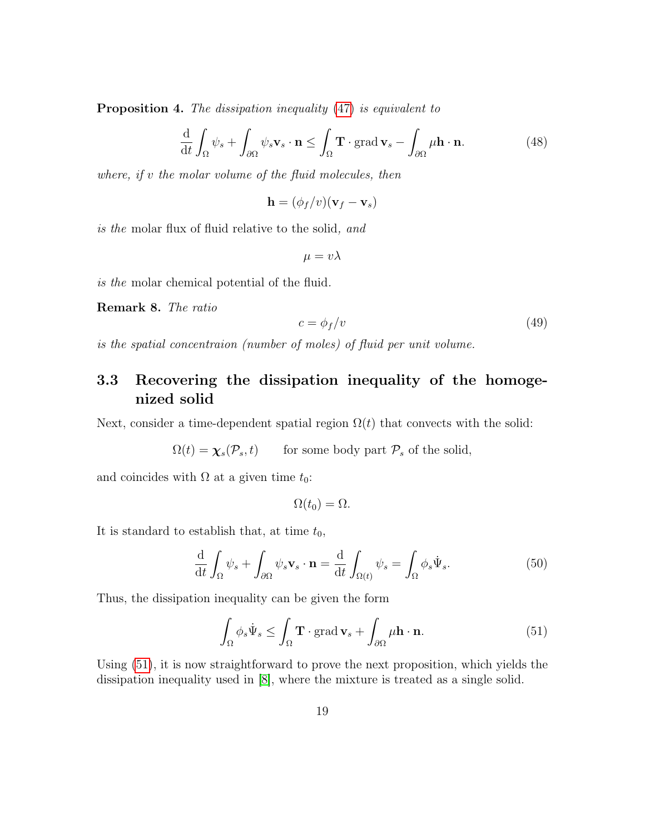**Proposition 4.** The dissipation inequality [\(47\)](#page-17-0) is equivalent to

$$
\frac{\mathrm{d}}{\mathrm{d}t} \int_{\Omega} \psi_s + \int_{\partial \Omega} \psi_s \mathbf{v}_s \cdot \mathbf{n} \le \int_{\Omega} \mathbf{T} \cdot \text{grad } \mathbf{v}_s - \int_{\partial \Omega} \mu \mathbf{h} \cdot \mathbf{n}.\tag{48}
$$

where, if v the molar volume of the fluid molecules, then

<span id="page-18-1"></span>
$$
\mathbf{h} = (\phi_f/v)(\mathbf{v}_f - \mathbf{v}_s)
$$

is the molar flux of fluid relative to the solid, and

 $\mu = v\lambda$ 

is the molar chemical potential of the fluid.

Remark 8. The ratio

$$
c = \phi_f/v \tag{49}
$$

is the spatial concentraion (number of moles) of fluid per unit volume.

## 3.3 Recovering the dissipation inequality of the homogenized solid

Next, consider a time-dependent spatial region  $\Omega(t)$  that convects with the solid:

 $\Omega(t) = \chi_s(\mathcal{P}_s,t)$  for some body part  $\mathcal{P}_s$  of the solid,

and coincides with  $\Omega$  at a given time  $t_0$ :

<span id="page-18-0"></span>
$$
\Omega(t_0)=\Omega.
$$

It is standard to establish that, at time  $t_0$ ,

$$
\frac{\mathrm{d}}{\mathrm{d}t} \int_{\Omega} \psi_s + \int_{\partial \Omega} \psi_s \mathbf{v}_s \cdot \mathbf{n} = \frac{\mathrm{d}}{\mathrm{d}t} \int_{\Omega(t)} \psi_s = \int_{\Omega} \phi_s \dot{\Psi}_s. \tag{50}
$$

Thus, the dissipation inequality can be given the form

$$
\int_{\Omega} \phi_s \dot{\Psi}_s \le \int_{\Omega} \mathbf{T} \cdot \text{grad } \mathbf{v}_s + \int_{\partial \Omega} \mu \mathbf{h} \cdot \mathbf{n}.
$$
\n(51)

Using [\(51\)](#page-18-0), it is now straightforward to prove the next proposition, which yields the dissipation inequality used in [\[8\]](#page-23-5), where the mixture is treated as a single solid.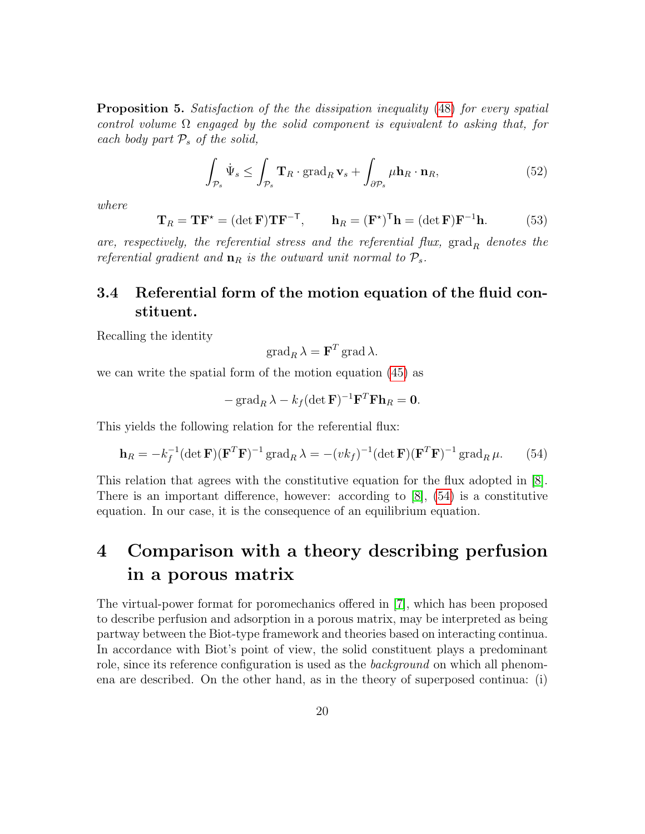**Proposition 5.** Satisfaction of the the dissipation inequality [\(48\)](#page-18-1) for every spatial control volume  $\Omega$  engaged by the solid component is equivalent to asking that, for each body part  $P_s$  of the solid,

$$
\int_{\mathcal{P}_s} \dot{\Psi}_s \le \int_{\mathcal{P}_s} \mathbf{T}_R \cdot \text{grad}_R \mathbf{v}_s + \int_{\partial \mathcal{P}_s} \mu \mathbf{h}_R \cdot \mathbf{n}_R,\tag{52}
$$

where

$$
\mathbf{T}_R = \mathbf{T} \mathbf{F}^{\star} = (\det \mathbf{F}) \mathbf{T} \mathbf{F}^{-\mathsf{T}}, \qquad \mathbf{h}_R = (\mathbf{F}^{\star})^{\mathsf{T}} \mathbf{h} = (\det \mathbf{F}) \mathbf{F}^{-1} \mathbf{h}.
$$
 (53)

are, respectively, the referential stress and the referential flux,  $\text{grad}_R$  denotes the referential gradient and  $\mathbf{n}_R$  is the outward unit normal to  $\mathcal{P}_s$ .

## 3.4 Referential form of the motion equation of the fluid constituent.

Recalling the identity

<span id="page-19-0"></span>
$$
\operatorname{grad}_R \lambda = \mathbf{F}^T \operatorname{grad} \lambda.
$$

we can write the spatial form of the motion equation [\(45\)](#page-15-2) as

$$
-\operatorname{grad}_R \lambda - k_f (\det \mathbf{F})^{-1} \mathbf{F}^T \mathbf{F} \mathbf{h}_R = \mathbf{0}.
$$

This yields the following relation for the referential flux:

$$
\mathbf{h}_R = -k_f^{-1} (\det \mathbf{F}) (\mathbf{F}^T \mathbf{F})^{-1} \operatorname{grad}_R \lambda = -(vk_f)^{-1} (\det \mathbf{F}) (\mathbf{F}^T \mathbf{F})^{-1} \operatorname{grad}_R \mu.
$$
 (54)

This relation that agrees with the constitutive equation for the flux adopted in [\[8\]](#page-23-5). There is an important difference, however: according to  $[8]$ ,  $(54)$  is a constitutive equation. In our case, it is the consequence of an equilibrium equation.

# 4 Comparison with a theory describing perfusion in a porous matrix

The virtual-power format for poromechanics offered in [\[7\]](#page-23-10), which has been proposed to describe perfusion and adsorption in a porous matrix, may be interpreted as being partway between the Biot-type framework and theories based on interacting continua. In accordance with Biot's point of view, the solid constituent plays a predominant role, since its reference configuration is used as the *background* on which all phenomena are described. On the other hand, as in the theory of superposed continua: (i)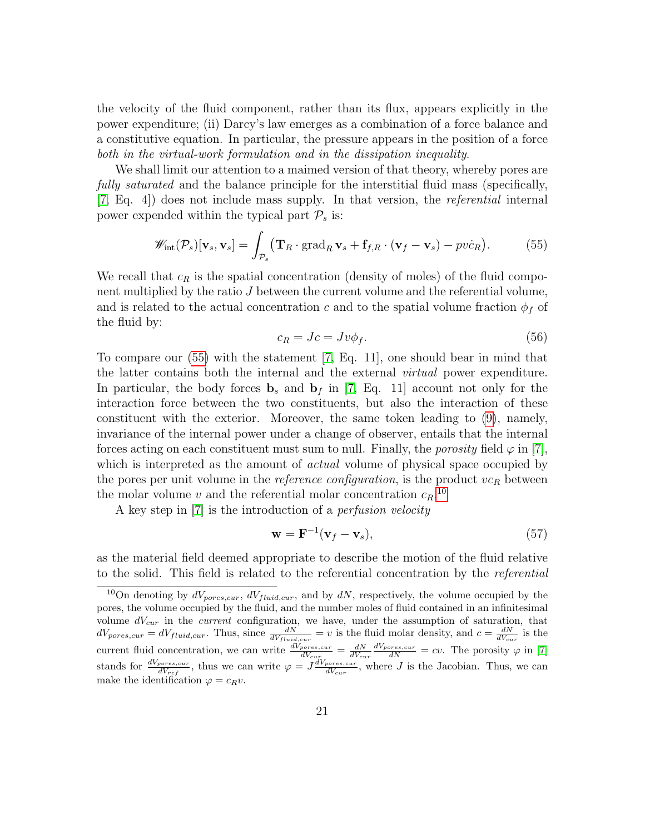the velocity of the fluid component, rather than its flux, appears explicitly in the power expenditure; (ii) Darcy's law emerges as a combination of a force balance and a constitutive equation. In particular, the pressure appears in the position of a force both in the virtual-work formulation and in the dissipation inequality.

We shall limit our attention to a maimed version of that theory, whereby pores are fully saturated and the balance principle for the interstitial fluid mass (specifically, [\[7,](#page-23-10) Eq. 4]) does not include mass supply. In that version, the referential internal power expended within the typical part  $\mathcal{P}_s$  is:

<span id="page-20-3"></span>
$$
\mathscr{W}_{\text{int}}(\mathcal{P}_s)[\mathbf{v}_s, \mathbf{v}_s] = \int_{\mathcal{P}_s} (\mathbf{T}_R \cdot \text{grad}_R \mathbf{v}_s + \mathbf{f}_{f,R} \cdot (\mathbf{v}_f - \mathbf{v}_s) - pv\dot{c}_R). \tag{55}
$$

We recall that  $c_R$  is the spatial concentration (density of moles) of the fluid component multiplied by the ratio J between the current volume and the referential volume, and is related to the actual concentration c and to the spatial volume fraction  $\phi_f$  of the fluid by:

<span id="page-20-0"></span>
$$
c_R = Jc = Jv\phi_f. \tag{56}
$$

To compare our [\(55\)](#page-20-0) with the statement [\[7,](#page-23-10) Eq. 11], one should bear in mind that the latter contains both the internal and the external virtual power expenditure. In particular, the body forces  $\mathbf{b}_s$  and  $\mathbf{b}_f$  in [\[7,](#page-23-10) Eq. 11] account not only for the interaction force between the two constituents, but also the interaction of these constituent with the exterior. Moreover, the same token leading to [\(9\)](#page-4-2), namely, invariance of the internal power under a change of observer, entails that the internal forces acting on each constituent must sum to null. Finally, the *porosity* field  $\varphi$  in [\[7\]](#page-23-10), which is interpreted as the amount of *actual* volume of physical space occupied by the pores per unit volume in the *reference configuration*, is the product  $vc_R$  between the molar volume v and the referential molar concentration  $c_R$ <sup>[10](#page-20-1)</sup>

A key step in [\[7\]](#page-23-10) is the introduction of a perfusion velocity

<span id="page-20-2"></span>
$$
\mathbf{w} = \mathbf{F}^{-1}(\mathbf{v}_f - \mathbf{v}_s),\tag{57}
$$

as the material field deemed appropriate to describe the motion of the fluid relative to the solid. This field is related to the referential concentration by the referential

<span id="page-20-1"></span> $10$ On denoting by  $dV_{pores,cur}$ ,  $dV_{fluid,cur}$ , and by  $dN$ , respectively, the volume occupied by the pores, the volume occupied by the fluid, and the number moles of fluid contained in an infinitesimal volume  $dV_{cur}$  in the *current* configuration, we have, under the assumption of saturation, that  $dV_{pores,cur} = dV_{fluid,cur}$ . Thus, since  $\frac{dN}{dV_{fluid,cur}} = v$  is the fluid molar density, and  $c = \frac{dN}{dV_{cur}}$  is the current fluid concentration, we can write  $\frac{dV_{pores,cur}}{dV_{cur}} = \frac{dN}{dV_{cur}}$  $\frac{dV_{pores,cur}}{dN} = cv$ . The porosity  $\varphi$  in [\[7\]](#page-23-10) stands for  $\frac{dV_{pores,cur}}{dV_{ref}}$ , thus we can write  $\varphi = J \frac{dV_{pores,cur}}{dV_{cur}}$ dVcur , where J is the Jacobian. Thus, we can make the identification  $\varphi = c_R v$ .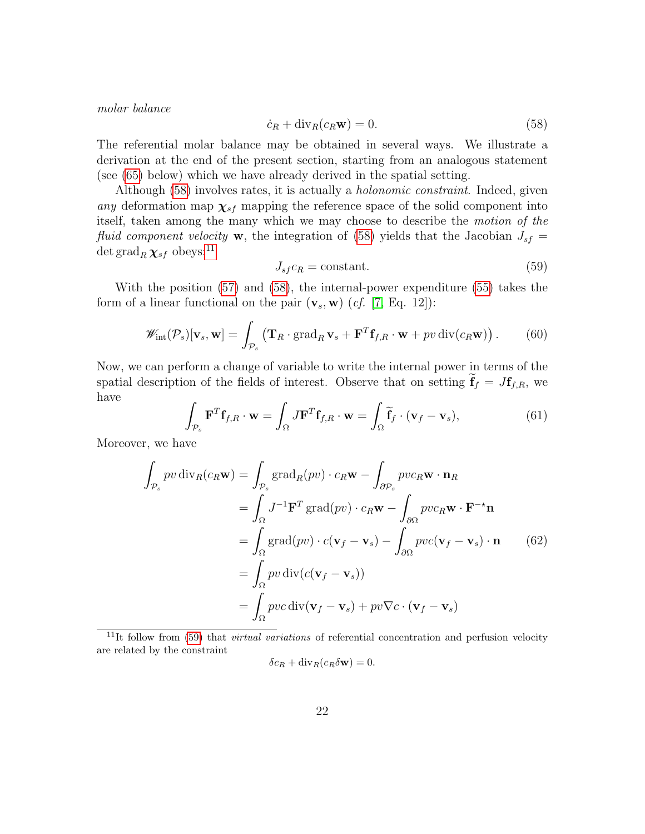<span id="page-21-0"></span>molar balance

$$
\dot{c}_R + \text{div}_R(c_R \mathbf{w}) = 0. \tag{58}
$$

The referential molar balance may be obtained in several ways. We illustrate a derivation at the end of the present section, starting from an analogous statement (see [\(65\)](#page-22-0) below) which we have already derived in the spatial setting.

Although [\(58\)](#page-21-0) involves rates, it is actually a holonomic constraint. Indeed, given any deformation map  $\chi_{sf}$  mapping the reference space of the solid component into itself, taken among the many which we may choose to describe the motion of the fluid component velocity **w**, the integration of [\(58\)](#page-21-0) yields that the Jacobian  $J_{sf}$ det grad<sub>R</sub>  $\chi_{sf}$  obeys:<sup>[11](#page-21-1)</sup>

<span id="page-21-2"></span>
$$
J_{sf}c_R = \text{constant.}\tag{59}
$$

With the position [\(57\)](#page-20-2) and [\(58\)](#page-21-0), the internal-power expenditure [\(55\)](#page-20-0) takes the form of a linear functional on the pair  $(\mathbf{v}_s, \mathbf{w})$  (*cf.* [\[7,](#page-23-10) Eq. 12]):

$$
\mathscr{W}_{\text{int}}(\mathcal{P}_s)[\mathbf{v}_s, \mathbf{w}] = \int_{\mathcal{P}_s} \left( \mathbf{T}_R \cdot \text{grad}_R \mathbf{v}_s + \mathbf{F}^T \mathbf{f}_{f,R} \cdot \mathbf{w} + pv \operatorname{div}(c_R \mathbf{w}) \right).
$$
(60)

Now, we can perform a change of variable to write the internal power in terms of the spatial description of the fields of interest. Observe that on setting  $f_f = Jf_{f,R}$ , we have

$$
\int_{\mathcal{P}_s} \mathbf{F}^T \mathbf{f}_{f,R} \cdot \mathbf{w} = \int_{\Omega} J \mathbf{F}^T \mathbf{f}_{f,R} \cdot \mathbf{w} = \int_{\Omega} \widetilde{\mathbf{f}}_f \cdot (\mathbf{v}_f - \mathbf{v}_s),
$$
\n(61)

Moreover, we have

$$
\int_{\mathcal{P}_s} pv \operatorname{div}_R(c_R \mathbf{w}) = \int_{\mathcal{P}_s} \operatorname{grad}_R(pv) \cdot c_R \mathbf{w} - \int_{\partial \mathcal{P}_s} pv c_R \mathbf{w} \cdot \mathbf{n}_R
$$
\n
$$
= \int_{\Omega} J^{-1} \mathbf{F}^T \operatorname{grad}(pv) \cdot c_R \mathbf{w} - \int_{\partial \Omega} pv c_R \mathbf{w} \cdot \mathbf{F}^{-\star} \mathbf{n}
$$
\n
$$
= \int_{\Omega} \operatorname{grad}(pv) \cdot c(\mathbf{v}_f - \mathbf{v}_s) - \int_{\partial \Omega} pv c(\mathbf{v}_f - \mathbf{v}_s) \cdot \mathbf{n} \qquad (62)
$$
\n
$$
= \int_{\Omega} pv \operatorname{div}(c(\mathbf{v}_f - \mathbf{v}_s))
$$
\n
$$
= \int_{\Omega} pv c \operatorname{div}(\mathbf{v}_f - \mathbf{v}_s) + pv \nabla c \cdot (\mathbf{v}_f - \mathbf{v}_s)
$$

<span id="page-21-1"></span> $11$ It follow from [\(59\)](#page-21-2) that *virtual variations* of referential concentration and perfusion velocity are related by the constraint

$$
\delta c_R + \operatorname{div}_R(c_R \delta \mathbf{w}) = 0.
$$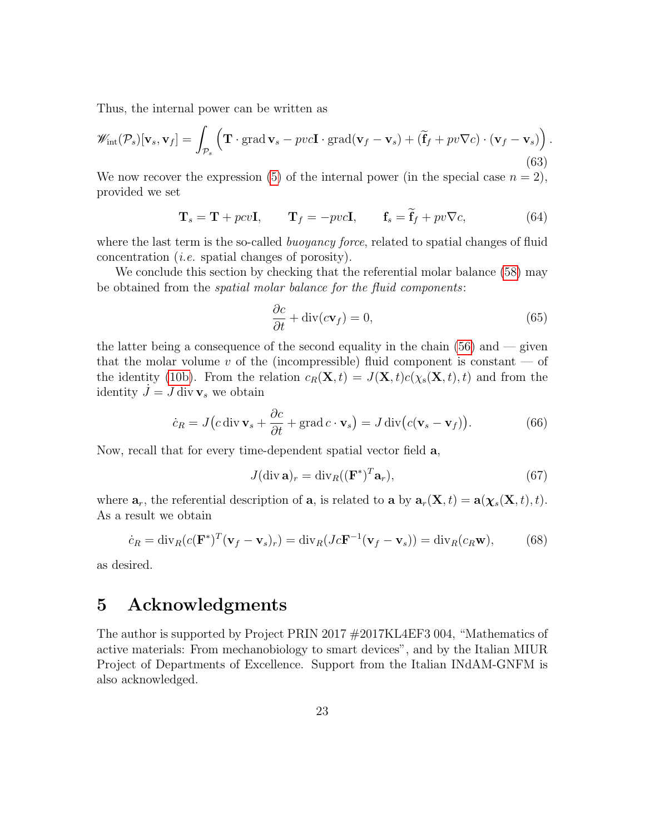Thus, the internal power can be written as

$$
\mathscr{W}_{\text{int}}(\mathcal{P}_s)[\mathbf{v}_s, \mathbf{v}_f] = \int_{\mathcal{P}_s} \left( \mathbf{T} \cdot \text{grad } \mathbf{v}_s - pvc \mathbf{I} \cdot \text{grad}(\mathbf{v}_f - \mathbf{v}_s) + (\widetilde{\mathbf{f}}_f + pv\nabla c) \cdot (\mathbf{v}_f - \mathbf{v}_s) \right).
$$
\n(63)

We now recover the expression [\(5\)](#page-3-1) of the internal power (in the special case  $n = 2$ ), provided we set

$$
\mathbf{T}_s = \mathbf{T} + pcv\mathbf{I}, \qquad \mathbf{T}_f = -pvc\mathbf{I}, \qquad \mathbf{f}_s = \mathbf{f}_f + pv\nabla c,\tag{64}
$$

where the last term is the so-called *buoyancy force*, related to spatial changes of fluid concentration (i.e. spatial changes of porosity).

We conclude this section by checking that the referential molar balance [\(58\)](#page-21-0) may be obtained from the spatial molar balance for the fluid components:

<span id="page-22-0"></span>
$$
\frac{\partial c}{\partial t} + \text{div}(c\mathbf{v}_f) = 0,\tag{65}
$$

the latter being a consequence of the second equality in the chain  $(56)$  and  $-$  given that the molar volume v of the (incompressible) fluid component is constant  $-$  of the identity [\(10b\)](#page-2-0). From the relation  $c_R(\mathbf{X}, t) = J(\mathbf{X}, t)c(\chi_{\rm s}(\mathbf{X}, t), t)$  and from the identity  $J = J$  div  $v_s$  we obtain

$$
\dot{c}_R = J(c \operatorname{div} \mathbf{v}_s + \frac{\partial c}{\partial t} + \operatorname{grad} c \cdot \mathbf{v}_s) = J \operatorname{div} (c(\mathbf{v}_s - \mathbf{v}_f)). \tag{66}
$$

Now, recall that for every time-dependent spatial vector field a,

$$
J(\text{div }\mathbf{a})_r = \text{div}_R((\mathbf{F}^*)^T \mathbf{a}_r),\tag{67}
$$

where  $\mathbf{a}_r$ , the referential description of  $\mathbf{a}$ , is related to  $\mathbf{a}$  by  $\mathbf{a}_r(\mathbf{X}, t) = \mathbf{a}(\chi_s(\mathbf{X}, t), t)$ . As a result we obtain

$$
\dot{c}_R = \text{div}_R(c(\mathbf{F}^*)^T(\mathbf{v}_f - \mathbf{v}_s)_r) = \text{div}_R(Jc\mathbf{F}^{-1}(\mathbf{v}_f - \mathbf{v}_s)) = \text{div}_R(c_R\mathbf{w}),\tag{68}
$$

as desired.

# 5 Acknowledgments

The author is supported by Project PRIN 2017 #2017KL4EF3 004, "Mathematics of active materials: From mechanobiology to smart devices", and by the Italian MIUR Project of Departments of Excellence. Support from the Italian INdAM-GNFM is also acknowledged.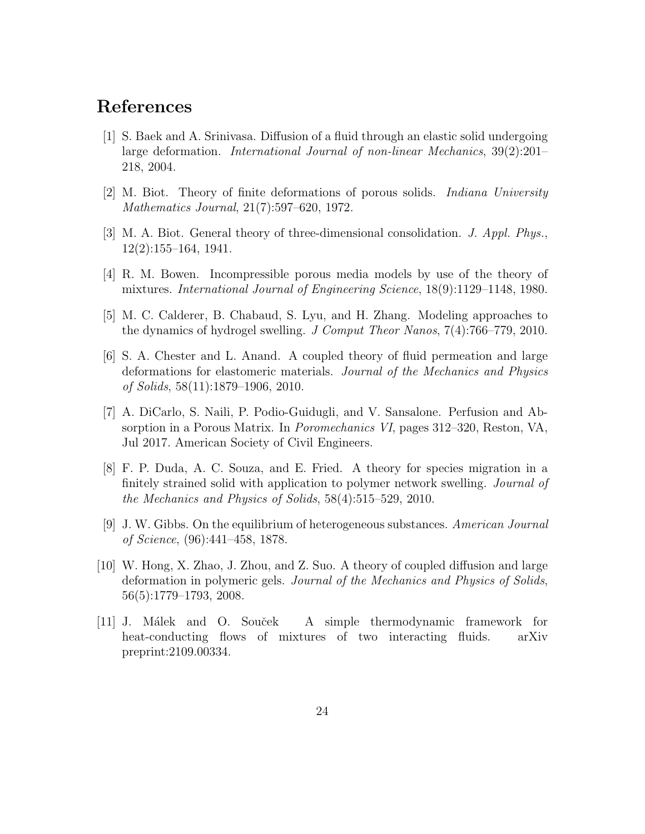# References

- <span id="page-23-2"></span>[1] S. Baek and A. Srinivasa. Diffusion of a fluid through an elastic solid undergoing large deformation. International Journal of non-linear Mechanics, 39(2):201– 218, 2004.
- <span id="page-23-7"></span>[2] M. Biot. Theory of finite deformations of porous solids. Indiana University Mathematics Journal, 21(7):597–620, 1972.
- <span id="page-23-8"></span>[3] M. A. Biot. General theory of three-dimensional consolidation. J. Appl. Phys., 12(2):155–164, 1941.
- <span id="page-23-0"></span>[4] R. M. Bowen. Incompressible porous media models by use of the theory of mixtures. International Journal of Engineering Science, 18(9):1129–1148, 1980.
- <span id="page-23-1"></span>[5] M. C. Calderer, B. Chabaud, S. Lyu, and H. Zhang. Modeling approaches to the dynamics of hydrogel swelling. J Comput Theor Nanos, 7(4):766–779, 2010.
- <span id="page-23-4"></span>[6] S. A. Chester and L. Anand. A coupled theory of fluid permeation and large deformations for elastomeric materials. Journal of the Mechanics and Physics of Solids, 58(11):1879–1906, 2010.
- <span id="page-23-10"></span>[7] A. DiCarlo, S. Naili, P. Podio-Guidugli, and V. Sansalone. Perfusion and Absorption in a Porous Matrix. In Poromechanics VI, pages 312–320, Reston, VA, Jul 2017. American Society of Civil Engineers.
- <span id="page-23-5"></span>[8] F. P. Duda, A. C. Souza, and E. Fried. A theory for species migration in a finitely strained solid with application to polymer network swelling. Journal of the Mechanics and Physics of Solids, 58(4):515–529, 2010.
- <span id="page-23-6"></span>[9] J. W. Gibbs. On the equilibrium of heterogeneous substances. American Journal of Science, (96):441–458, 1878.
- <span id="page-23-3"></span>[10] W. Hong, X. Zhao, J. Zhou, and Z. Suo. A theory of coupled diffusion and large deformation in polymeric gels. Journal of the Mechanics and Physics of Solids, 56(5):1779–1793, 2008.
- <span id="page-23-9"></span>[11] J. Málek and O. Souček A simple thermodynamic framework for heat-conducting flows of mixtures of two interacting fluids. arXiv preprint:2109.00334.